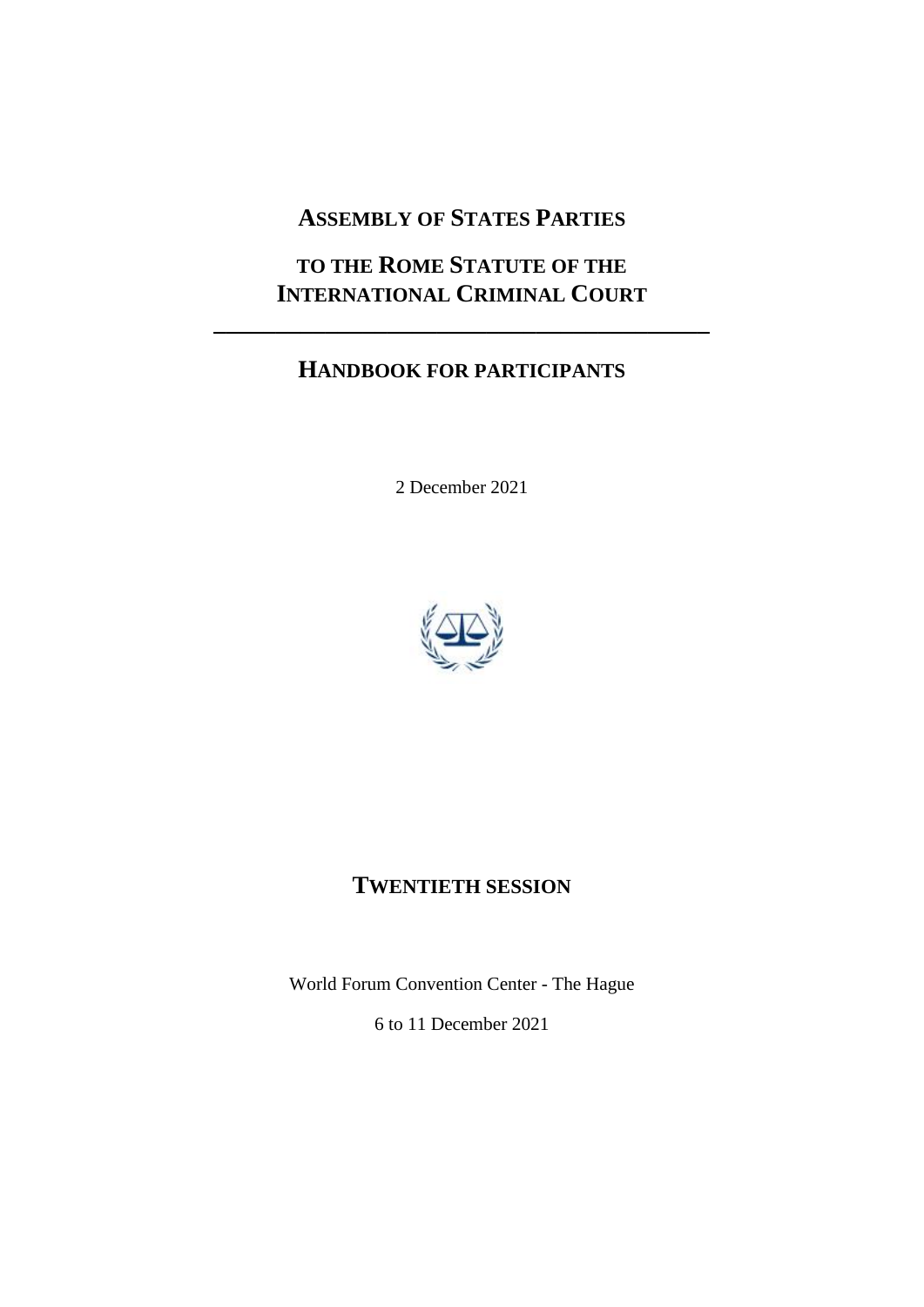# **ASSEMBLY OF STATES PARTIES**

# **TO THE ROME STATUTE OF THE INTERNATIONAL CRIMINAL COURT**

**\_\_\_\_\_\_\_\_\_\_\_\_\_\_\_\_\_\_\_\_\_\_\_\_\_\_\_\_\_\_\_\_\_\_\_\_\_\_\_\_**

# **HANDBOOK FOR PARTICIPANTS**

2 December 2021



# **TWENTIETH SESSION**

World Forum Convention Center - The Hague

6 to 11 December 2021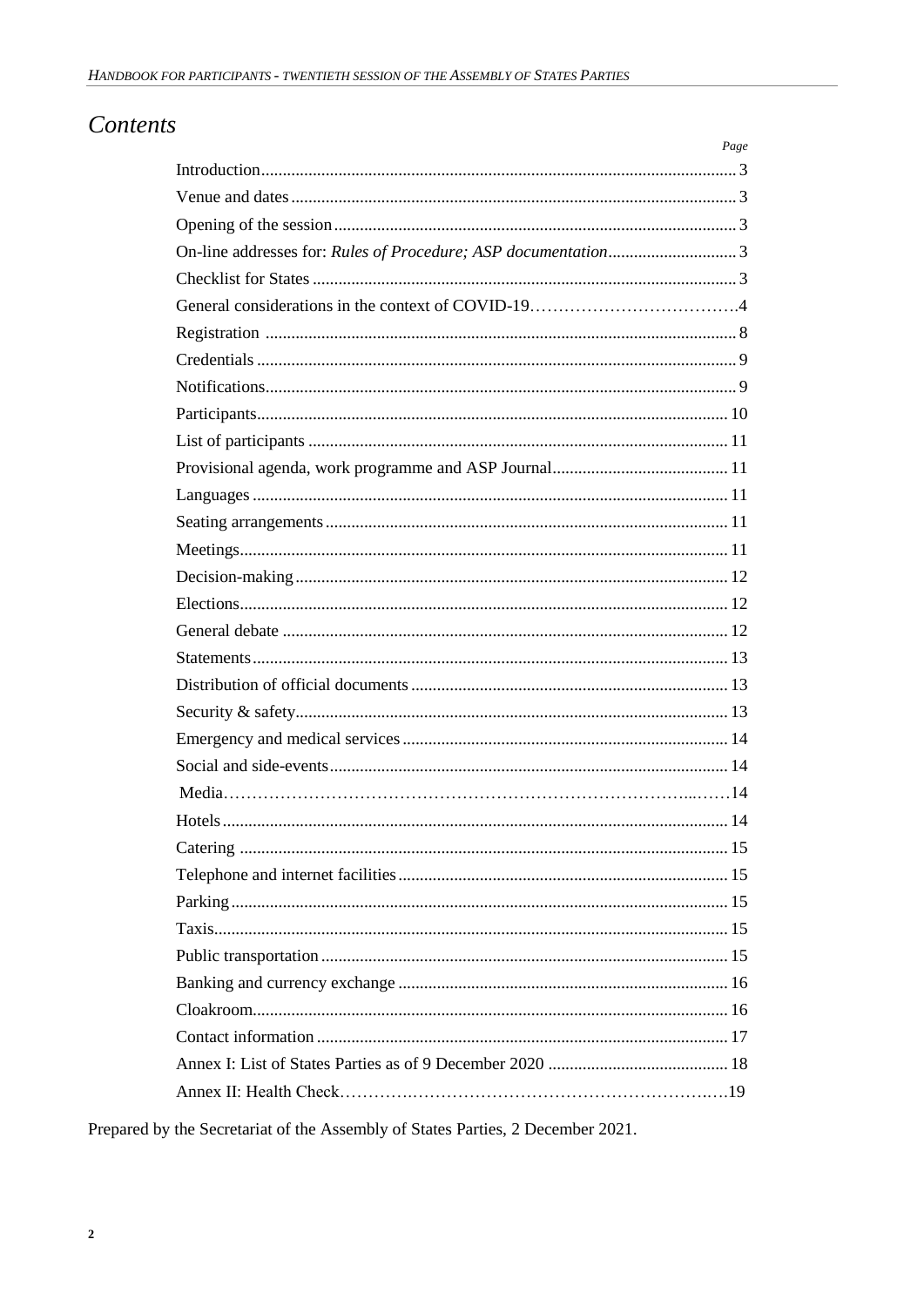# Contents

| Page |
|------|
|      |
|      |
|      |
|      |
|      |
|      |
|      |
|      |
|      |
|      |
|      |
|      |
|      |
|      |
|      |
|      |
|      |
|      |
|      |
|      |
|      |
|      |
|      |
|      |
|      |
|      |
|      |
|      |
|      |
|      |
|      |
|      |
|      |
|      |
|      |

Prepared by the Secretariat of the Assembly of States Parties, 2 December 2021.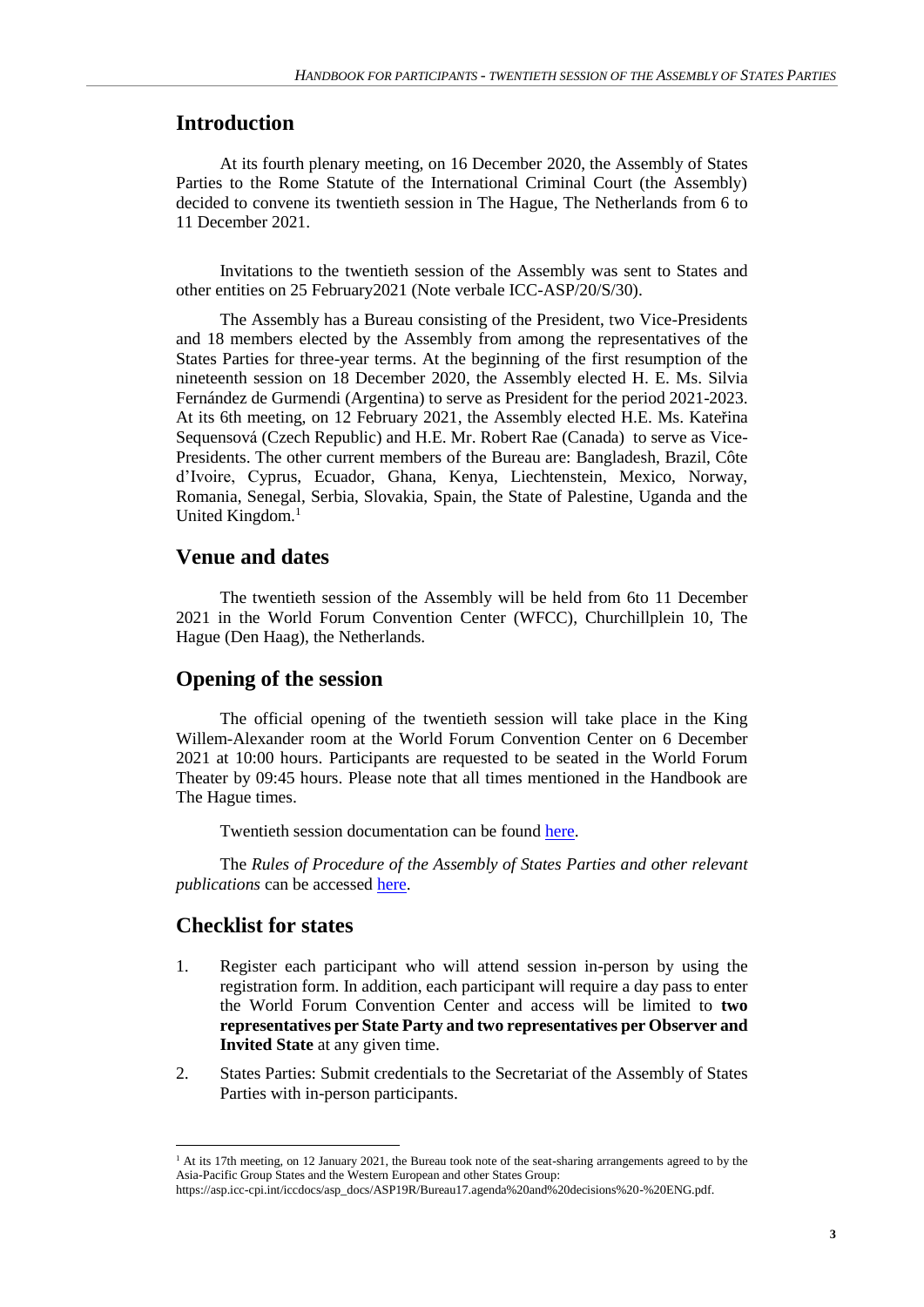## **Introduction**

At its fourth plenary meeting, on 16 December 2020, the Assembly of States Parties to the Rome Statute of the International Criminal Court (the Assembly) decided to convene its twentieth session in The Hague, The Netherlands from 6 to 11 December 2021.

Invitations to the twentieth session of the Assembly was sent to States and other entities on 25 February2021 (Note verbale ICC-ASP/20/S/30).

The Assembly has a Bureau consisting of the President, two Vice-Presidents and 18 members elected by the Assembly from among the representatives of the States Parties for three-year terms. At the beginning of the first resumption of the nineteenth session on 18 December 2020, the Assembly elected H. E. Ms. Silvia Fernández de Gurmendi (Argentina) to serve as President for the period 2021-2023. At its 6th meeting, on 12 February 2021, the Assembly elected H.E. Ms. Kateřina Sequensová (Czech Republic) and H.E. Mr. Robert Rae (Canada) to serve as Vice-Presidents. The other current members of the Bureau are: Bangladesh, Brazil, Côte d'Ivoire, Cyprus, Ecuador, Ghana, Kenya, Liechtenstein, Mexico, Norway, Romania, Senegal, Serbia, Slovakia, Spain, the State of Palestine, Uganda and the United Kingdom.<sup>1</sup>

### **Venue and dates**

The twentieth session of the Assembly will be held from 6to 11 December 2021 in the World Forum Convention Center (WFCC), Churchillplein 10, The Hague (Den Haag), the Netherlands.

### **Opening of the session**

The official opening of the twentieth session will take place in the King Willem-Alexander room at the World Forum Convention Center on 6 December 2021 at 10:00 hours. Participants are requested to be seated in the World Forum Theater by 09:45 hours. Please note that all times mentioned in the Handbook are The Hague times.

Twentieth session documentation can be found [here.](https://asp.icc-cpi.int/en_menus/asp/sessions/documentation/20th%20session/Pages/default.aspx)

The *Rules of Procedure of the Assembly of States Parties and other relevant publications* can be accessed [here.](https://asp.icc-cpi.int/en_menus/asp/publications/Pages/asp%20publications.aspx)

## **Checklist for states**

 $\overline{a}$ 

- 1. Register each participant who will attend session in-person by using the registration form. In addition, each participant will require a day pass to enter the World Forum Convention Center and access will be limited to **two representatives per State Party and two representatives per Observer and Invited State** at any given time.
- 2. States Parties: Submit credentials to the Secretariat of the Assembly of States Parties with in-person participants.

<sup>&</sup>lt;sup>1</sup> At its 17th meeting, on 12 January 2021, the Bureau took note of the seat-sharing arrangements agreed to by the Asia-Pacific Group States and the Western European and other States Group:

https://asp.icc-cpi.int/iccdocs/asp\_docs/ASP19R/Bureau17.agenda%20and%20decisions%20-%20ENG.pdf.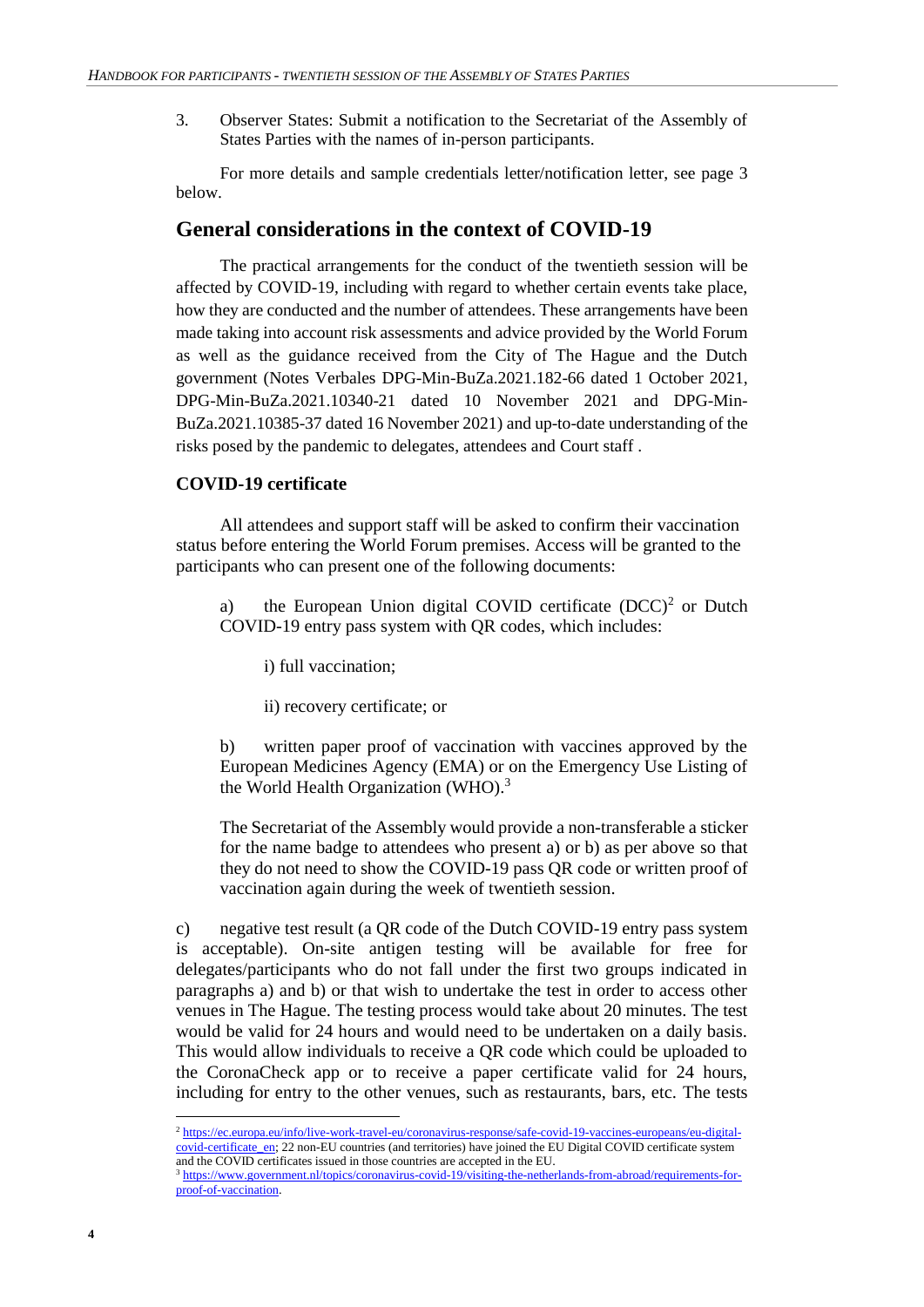3. Observer States: Submit a notification to the Secretariat of the Assembly of States Parties with the names of in-person participants.

For more details and sample credentials letter/notification letter, see page 3 below.

## **General considerations in the context of COVID-19**

The practical arrangements for the conduct of the twentieth session will be affected by COVID-19, including with regard to whether certain events take place, how they are conducted and the number of attendees. These arrangements have been made taking into account risk assessments and advice provided by the World Forum as well as the guidance received from the City of The Hague and the Dutch government (Notes Verbales DPG-Min-BuZa.2021.182-66 dated 1 October 2021, DPG-Min-BuZa.2021.10340-21 dated 10 November 2021 and DPG-Min-BuZa.2021.10385-37 dated 16 November 2021) and up-to-date understanding of the risks posed by the pandemic to delegates, attendees and Court staff .

#### **COVID-19 certificate**

All attendees and support staff will be asked to confirm their vaccination status before entering the World Forum premises. Access will be granted to the participants who can present one of the following documents:

a) the European Union digital COVID certificate  $(DCC)^2$  or Dutch COVID-19 entry pass system with QR codes, which includes:

i) full vaccination;

ii) recovery certificate; or

b) written paper proof of vaccination with vaccines approved by the European Medicines Agency (EMA) or on the Emergency Use Listing of the World Health Organization (WHO).<sup>3</sup>

The Secretariat of the Assembly would provide a non-transferable a sticker for the name badge to attendees who present a) or b) as per above so that they do not need to show the COVID-19 pass QR code or written proof of vaccination again during the week of twentieth session.

c) negative test result (a QR code of the Dutch COVID-19 entry pass system is acceptable). On-site antigen testing will be available for free for delegates/participants who do not fall under the first two groups indicated in paragraphs a) and b) or that wish to undertake the test in order to access other venues in The Hague. The testing process would take about 20 minutes. The test would be valid for 24 hours and would need to be undertaken on a daily basis. This would allow individuals to receive a QR code which could be uploaded to the CoronaCheck app or to receive a paper certificate valid for 24 hours, including for entry to the other venues, such as restaurants, bars, etc. The tests

 $\overline{a}$ 

<sup>2</sup> [https://ec.europa.eu/info/live-work-travel-eu/coronavirus-response/safe-covid-19-vaccines-europeans/eu-digital](https://ec.europa.eu/info/live-work-travel-eu/coronavirus-response/safe-covid-19-vaccines-europeans/eu-digital-covid-certificate_en)[covid-certificate\\_en;](https://ec.europa.eu/info/live-work-travel-eu/coronavirus-response/safe-covid-19-vaccines-europeans/eu-digital-covid-certificate_en) 22 non-EU countries (and territories) have joined the EU Digital COVID certificate system and the COVID certificates issued in those countries are accepted in the EU. <sup>3</sup> [https://www.government.nl/topics/coronavirus-covid-19/visiting-the-netherlands-from-abroad/requirements-for-](https://www.government.nl/topics/coronavirus-covid-19/visiting-the-netherlands-from-abroad/requirements-for-proof-of-vaccination)

[proof-of-vaccination.](https://www.government.nl/topics/coronavirus-covid-19/visiting-the-netherlands-from-abroad/requirements-for-proof-of-vaccination)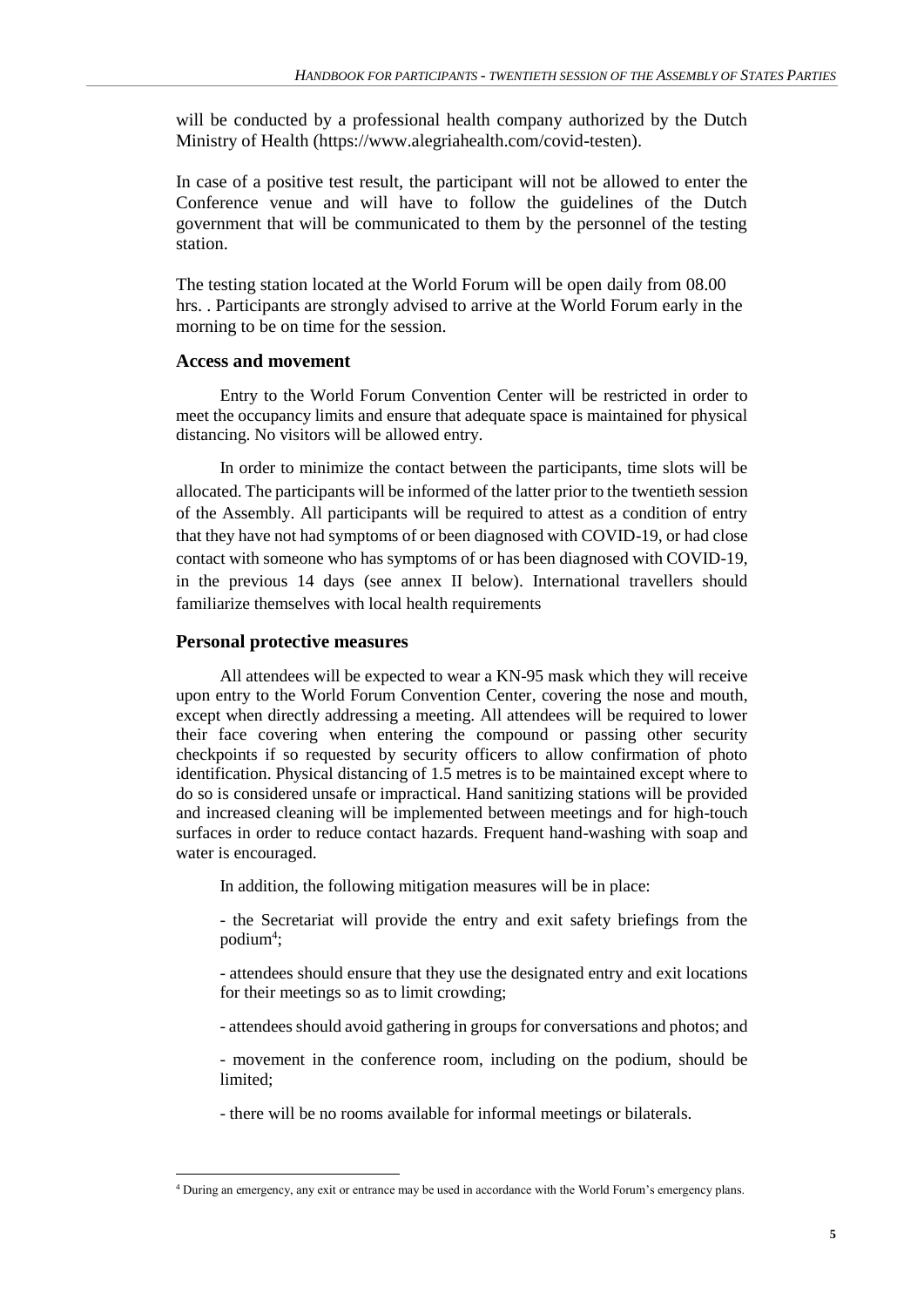will be conducted by a professional health company authorized by the Dutch Ministry of Health (https://www.alegriahealth.com/covid-testen).

In case of a positive test result, the participant will not be allowed to enter the Conference venue and will have to follow the guidelines of the Dutch government that will be communicated to them by the personnel of the testing station.

The testing station located at the World Forum will be open daily from 08.00 hrs. . Participants are strongly advised to arrive at the World Forum early in the morning to be on time for the session.

#### **Access and movement**

Entry to the World Forum Convention Center will be restricted in order to meet the occupancy limits and ensure that adequate space is maintained for physical distancing. No visitors will be allowed entry.

In order to minimize the contact between the participants, time slots will be allocated. The participants will be informed of the latter prior to the twentieth session of the Assembly. All participants will be required to attest as a condition of entry that they have not had symptoms of or been diagnosed with COVID-19, or had close contact with someone who has symptoms of or has been diagnosed with COVID-19, in the previous 14 days (see annex II below). International travellers should familiarize themselves with local health requirements

#### **Personal protective measures**

 $\overline{a}$ 

All attendees will be expected to wear a KN-95 mask which they will receive upon entry to the World Forum Convention Center, covering the nose and mouth, except when directly addressing a meeting. All attendees will be required to lower their face covering when entering the compound or passing other security checkpoints if so requested by security officers to allow confirmation of photo identification. Physical distancing of 1.5 metres is to be maintained except where to do so is considered unsafe or impractical. Hand sanitizing stations will be provided and increased cleaning will be implemented between meetings and for high-touch surfaces in order to reduce contact hazards. Frequent hand-washing with soap and water is encouraged.

In addition, the following mitigation measures will be in place:

- the Secretariat will provide the entry and exit safety briefings from the podium<sup>4</sup>;

- attendees should ensure that they use the designated entry and exit locations for their meetings so as to limit crowding;

- attendees should avoid gathering in groups for conversations and photos; and

- movement in the conference room, including on the podium, should be limited;

- there will be no rooms available for informal meetings or bilaterals.

<sup>4</sup> During an emergency, any exit or entrance may be used in accordance with the World Forum's emergency plans.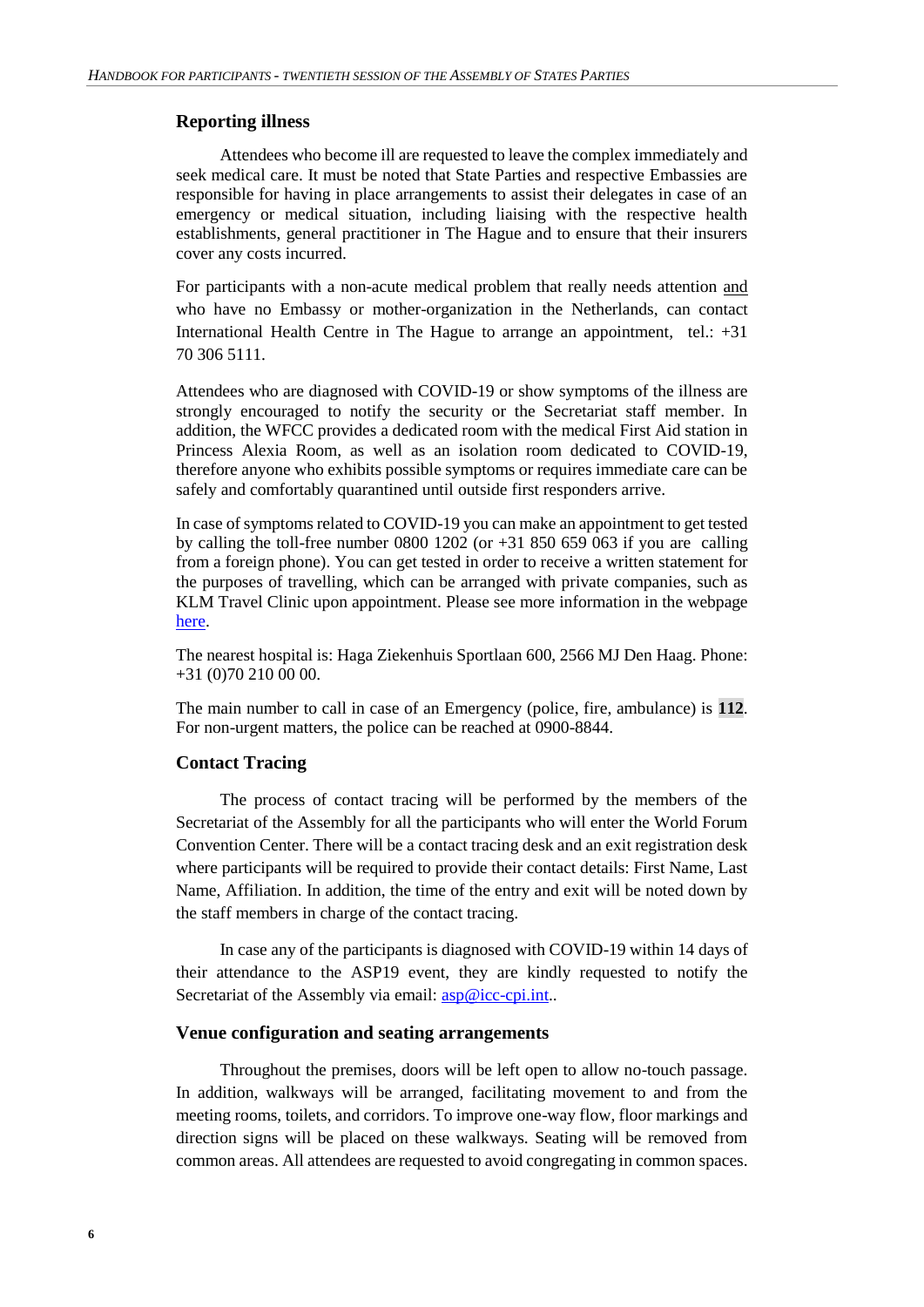#### **Reporting illness**

Attendees who become ill are requested to leave the complex immediately and seek medical care. It must be noted that State Parties and respective Embassies are responsible for having in place arrangements to assist their delegates in case of an emergency or medical situation, including liaising with the respective health establishments, general practitioner in The Hague and to ensure that their insurers cover any costs incurred.

For participants with a non-acute medical problem that really needs attention and who have no Embassy or mother-organization in the Netherlands, can contact International Health Centre in The Hague to arrange an appointment, tel.:  $+31$ 70 306 5111.

Attendees who are diagnosed with COVID-19 or show symptoms of the illness are strongly encouraged to notify the security or the Secretariat staff member. In addition, the WFCC provides a dedicated room with the medical First Aid station in Princess Alexia Room, as well as an isolation room dedicated to COVID-19, therefore anyone who exhibits possible symptoms or requires immediate care can be safely and comfortably quarantined until outside first responders arrive.

In case of symptoms related to COVID-19 you can make an appointment to get tested by calling the toll-free number 0800 1202 (or  $+31850659063$  if you are calling from a foreign phone). You can get tested in order to receive a written statement for the purposes of travelling, which can be arranged with private companies, such as KLM Travel Clinic upon appointment. Please see more information in the webpage [here.](https://klmhealthservices.com/en/journey-preparation/coronatest/)

The nearest hospital is: Haga Ziekenhuis Sportlaan 600, 2566 MJ Den Haag. Phone: +31 (0)70 210 00 00.

The main number to call in case of an Emergency (police, fire, ambulance) is **112**. For non-urgent matters, the police can be reached at 0900-8844.

#### **Contact Tracing**

The process of contact tracing will be performed by the members of the Secretariat of the Assembly for all the participants who will enter the World Forum Convention Center. There will be a contact tracing desk and an exit registration desk where participants will be required to provide their contact details: First Name, Last Name, Affiliation. In addition, the time of the entry and exit will be noted down by the staff members in charge of the contact tracing.

In case any of the participants is diagnosed with COVID-19 within 14 days of their attendance to the ASP19 event, they are kindly requested to notify the Secretariat of the Assembly via email:  $\frac{\text{asp@}$ icc-cpi.int..

#### **Venue configuration and seating arrangements**

Throughout the premises, doors will be left open to allow no-touch passage. In addition, walkways will be arranged, facilitating movement to and from the meeting rooms, toilets, and corridors. To improve one-way flow, floor markings and direction signs will be placed on these walkways. Seating will be removed from common areas. All attendees are requested to avoid congregating in common spaces.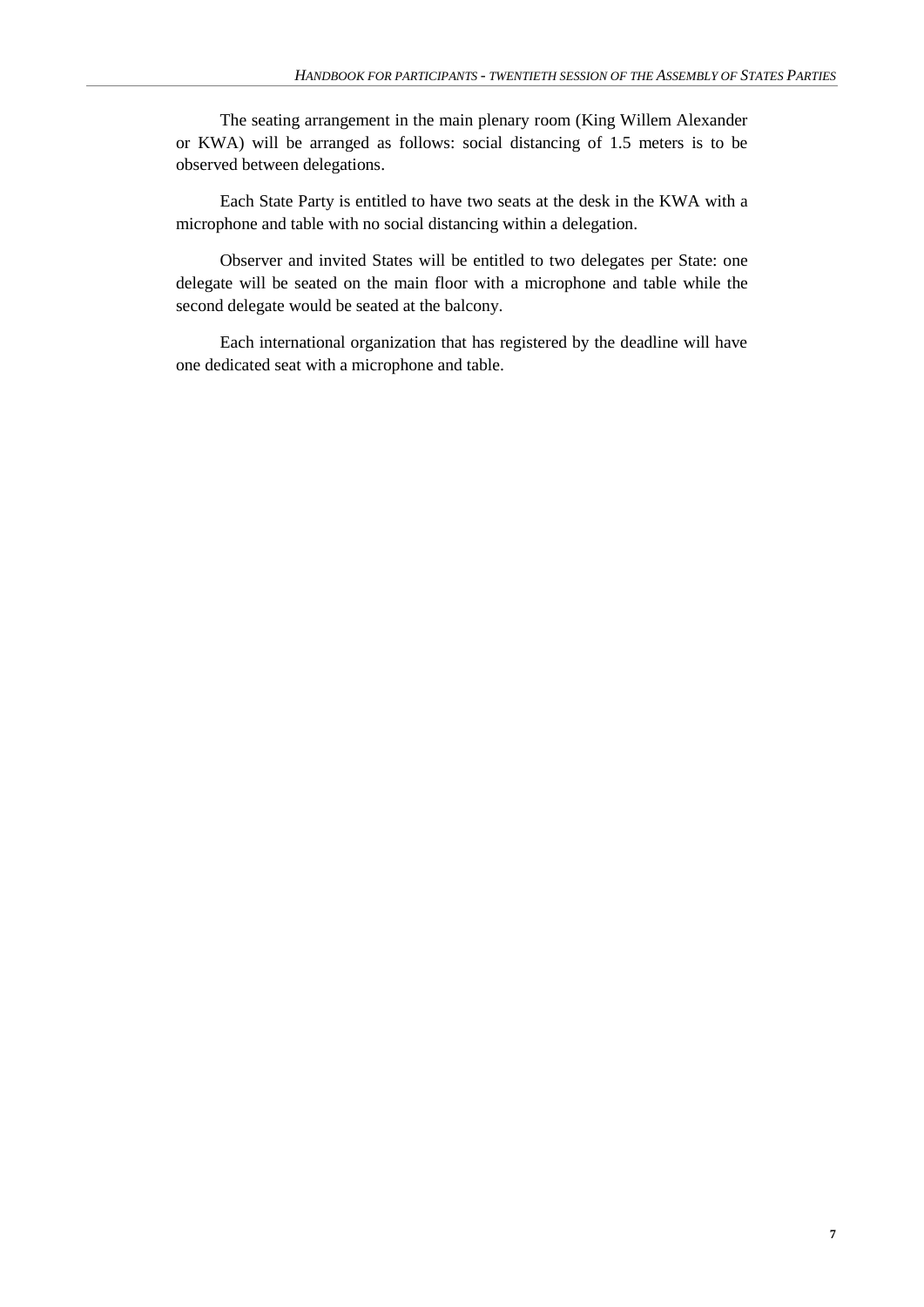The seating arrangement in the main plenary room (King Willem Alexander or KWA) will be arranged as follows: social distancing of 1.5 meters is to be observed between delegations.

Each State Party is entitled to have two seats at the desk in the KWA with a microphone and table with no social distancing within a delegation.

Observer and invited States will be entitled to two delegates per State: one delegate will be seated on the main floor with a microphone and table while the second delegate would be seated at the balcony.

Each international organization that has registered by the deadline will have one dedicated seat with a microphone and table.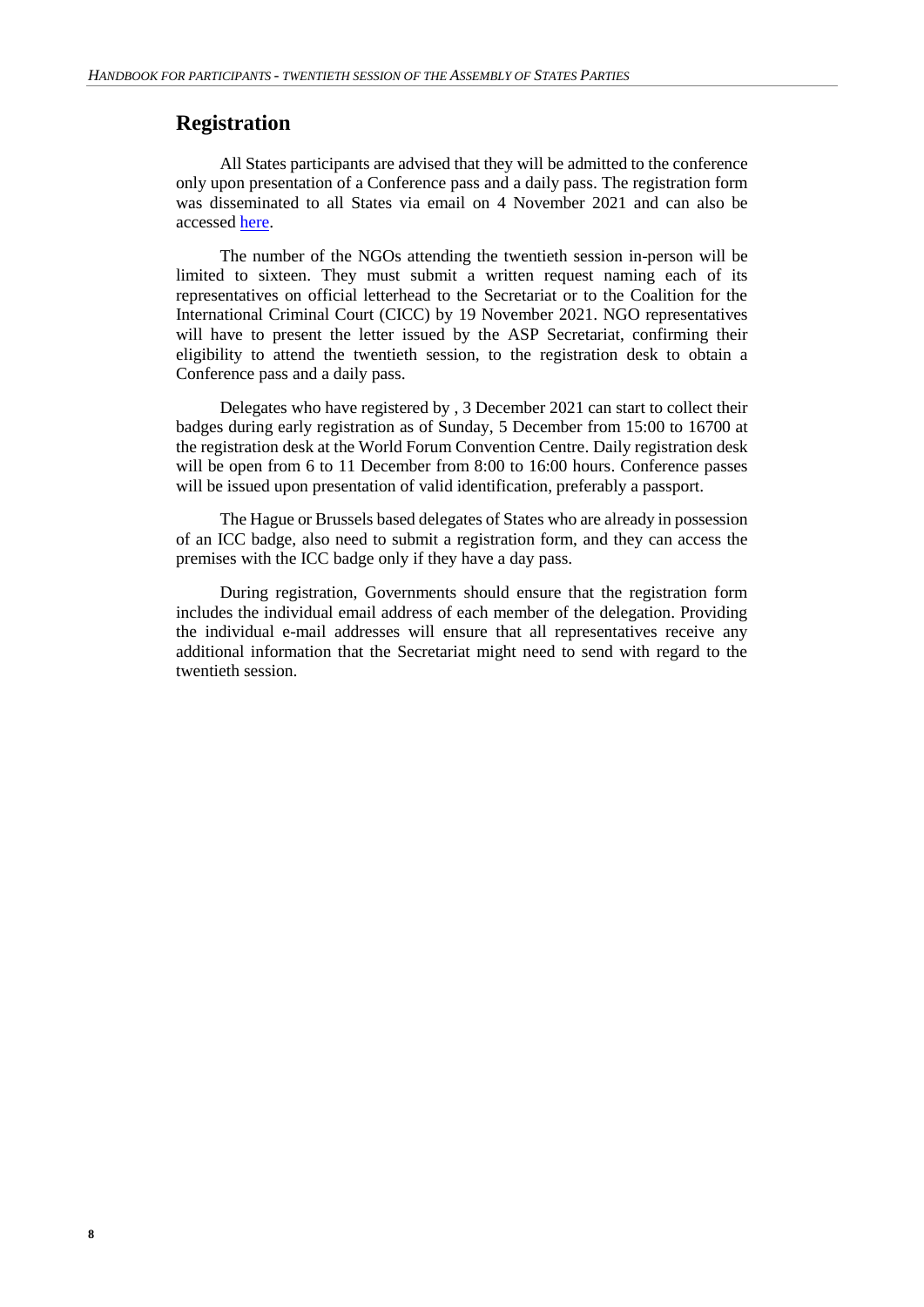## **Registration**

All States participants are advised that they will be admitted to the conference only upon presentation of a Conference pass and a daily pass. The registration form was disseminated to all States via email on 4 November 2021 and can also be accesse[d here.](https://asp.icc-cpi.int/en_menus/asp/sessions/documentation/20th%20session/Pages/default.aspx)

The number of the NGOs attending the twentieth session in-person will be limited to sixteen. They must submit a written request naming each of its representatives on official letterhead to the Secretariat or to the Coalition for the International Criminal Court (CICC) by 19 November 2021. NGO representatives will have to present the letter issued by the ASP Secretariat, confirming their eligibility to attend the twentieth session, to the registration desk to obtain a Conference pass and a daily pass.

Delegates who have registered by , 3 December 2021 can start to collect their badges during early registration as of Sunday, 5 December from 15:00 to 16700 at the registration desk at the World Forum Convention Centre. Daily registration desk will be open from 6 to 11 December from 8:00 to 16:00 hours. Conference passes will be issued upon presentation of valid identification, preferably a passport.

The Hague or Brussels based delegates of States who are already in possession of an ICC badge, also need to submit a registration form, and they can access the premises with the ICC badge only if they have a day pass.

During registration, Governments should ensure that the registration form includes the individual email address of each member of the delegation. Providing the individual e-mail addresses will ensure that all representatives receive any additional information that the Secretariat might need to send with regard to the twentieth session.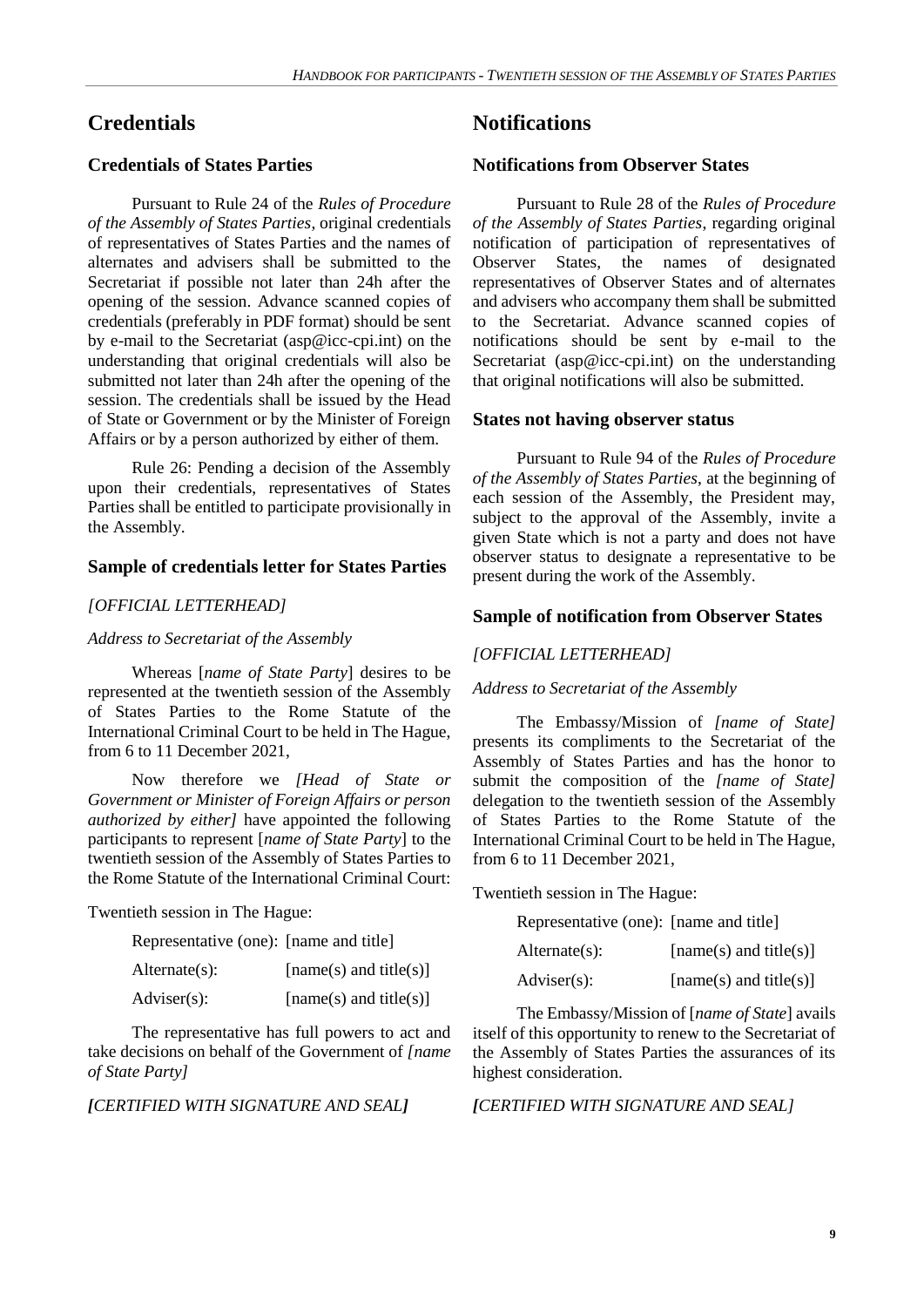## **Credentials**

#### **Credentials of States Parties**

Pursuant to Rule 24 of the *Rules of Procedure of the Assembly of States Parties*, original credentials of representatives of States Parties and the names of alternates and advisers shall be submitted to the Secretariat if possible not later than 24h after the opening of the session. Advance scanned copies of credentials (preferably in PDF format) should be sent by e-mail to the Secretariat (asp@icc-cpi.int) on the understanding that original credentials will also be submitted not later than 24h after the opening of the session. The credentials shall be issued by the Head of State or Government or by the Minister of Foreign Affairs or by a person authorized by either of them.

Rule 26: Pending a decision of the Assembly upon their credentials, representatives of States Parties shall be entitled to participate provisionally in the Assembly.

#### **Sample of credentials letter for States Parties**

#### *[OFFICIAL LETTERHEAD]*

#### *Address to Secretariat of the Assembly*

Whereas [*name of State Party*] desires to be represented at the twentieth session of the Assembly of States Parties to the Rome Statute of the International Criminal Court to be held in The Hague, from 6 to 11 December 2021,

Now therefore we *[Head of State or Government or Minister of Foreign Affairs or person authorized by either]* have appointed the following participants to represent [*name of State Party*] to the twentieth session of the Assembly of States Parties to the Rome Statute of the International Criminal Court:

Twentieth session in The Hague:

| Representative (one): [name and title] |                          |
|----------------------------------------|--------------------------|
| $Alternate(s)$ :                       | $[name(s)$ and title(s)] |
| $Adviser(s)$ :                         | $[name(s)$ and title(s)] |

The representative has full powers to act and take decisions on behalf of the Government of *[name of State Party]*

#### *[CERTIFIED WITH SIGNATURE AND SEAL]*

## **Notifications**

#### **Notifications from Observer States**

Pursuant to Rule 28 of the *Rules of Procedure of the Assembly of States Parties*, regarding original notification of participation of representatives of Observer States, the names of designated representatives of Observer States and of alternates and advisers who accompany them shall be submitted to the Secretariat. Advance scanned copies of notifications should be sent by e-mail to the Secretariat (asp@icc-cpi.int) on the understanding that original notifications will also be submitted.

#### **States not having observer status**

Pursuant to Rule 94 of the *Rules of Procedure of the Assembly of States Parties*, at the beginning of each session of the Assembly, the President may, subject to the approval of the Assembly, invite a given State which is not a party and does not have observer status to designate a representative to be present during the work of the Assembly.

#### **Sample of notification from Observer States**

#### *[OFFICIAL LETTERHEAD]*

#### *Address to Secretariat of the Assembly*

The Embassy/Mission of *[name of State]* presents its compliments to the Secretariat of the Assembly of States Parties and has the honor to submit the composition of the *[name of State]* delegation to the twentieth session of the Assembly of States Parties to the Rome Statute of the International Criminal Court to be held in The Hague, from 6 to 11 December 2021,

Twentieth session in The Hague:

Representative (one): [name and title]

| $Alternate(s)$ :      | [name(s) and title(s)] |
|-----------------------|------------------------|
| $\text{Adviser}(s)$ : | [name(s) and title(s)] |

The Embassy/Mission of [*name of State*] avails itself of this opportunity to renew to the Secretariat of the Assembly of States Parties the assurances of its highest consideration.

*[CERTIFIED WITH SIGNATURE AND SEAL]*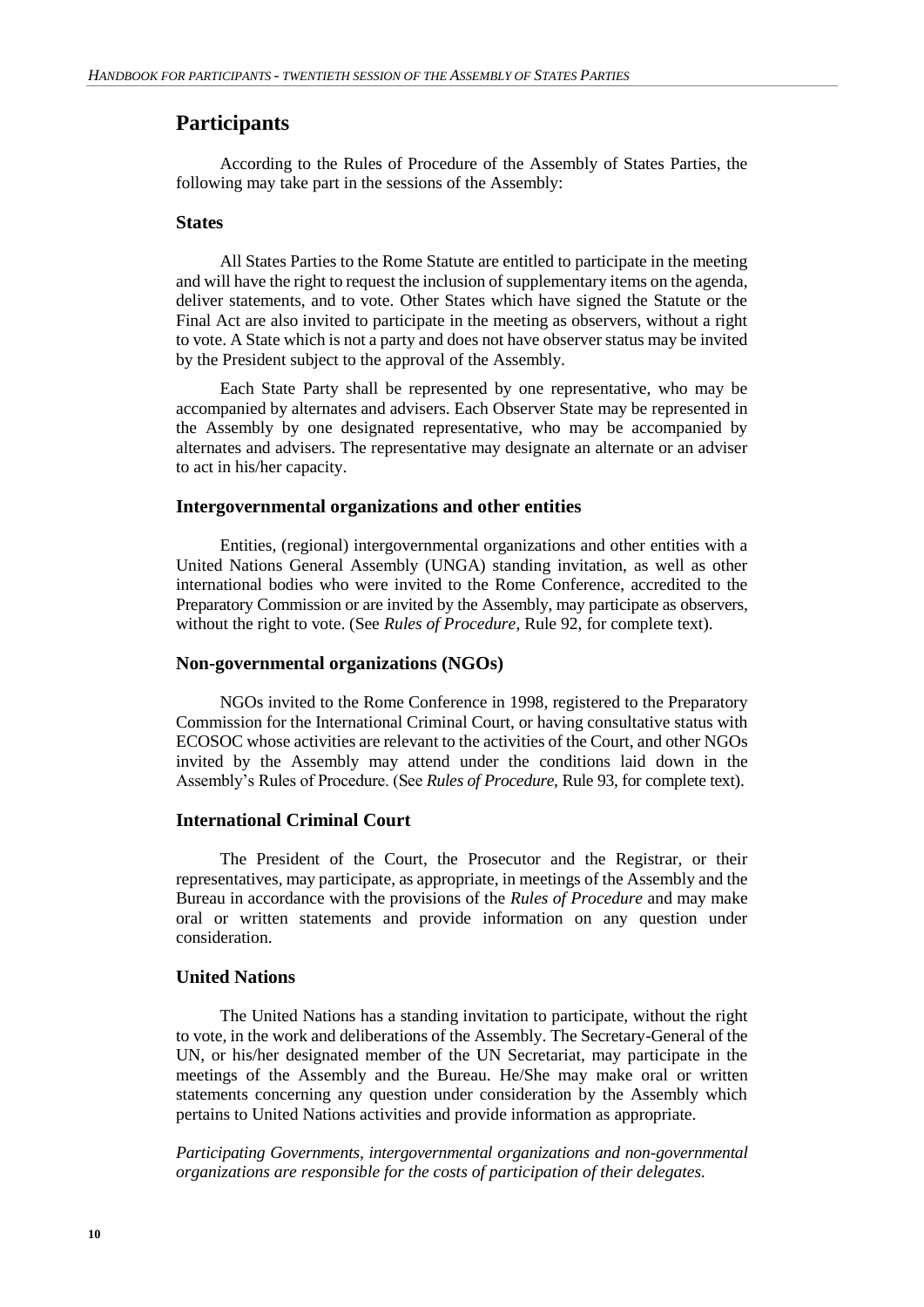## **Participants**

According to the Rules of Procedure of the Assembly of States Parties, the following may take part in the sessions of the Assembly:

#### **States**

All States Parties to the Rome Statute are entitled to participate in the meeting and will have the right to request the inclusion of supplementary items on the agenda, deliver statements, and to vote. Other States which have signed the Statute or the Final Act are also invited to participate in the meeting as observers, without a right to vote. A State which is not a party and does not have observer status may be invited by the President subject to the approval of the Assembly.

Each State Party shall be represented by one representative, who may be accompanied by alternates and advisers. Each Observer State may be represented in the Assembly by one designated representative, who may be accompanied by alternates and advisers. The representative may designate an alternate or an adviser to act in his/her capacity.

#### **Intergovernmental organizations and other entities**

Entities, (regional) intergovernmental organizations and other entities with a United Nations General Assembly (UNGA) standing invitation, as well as other international bodies who were invited to the Rome Conference, accredited to the Preparatory Commission or are invited by the Assembly, may participate as observers, without the right to vote. (See *Rules of Procedure*, Rule 92, for complete text).

#### **Non-governmental organizations (NGOs)**

NGOs invited to the Rome Conference in 1998, registered to the Preparatory Commission for the International Criminal Court, or having consultative status with ECOSOC whose activities are relevant to the activities of the Court, and other NGOs invited by the Assembly may attend under the conditions laid down in the Assembly's Rules of Procedure. (See *Rules of Procedure*, Rule 93, for complete text).

#### **International Criminal Court**

The President of the Court, the Prosecutor and the Registrar, or their representatives, may participate, as appropriate, in meetings of the Assembly and the Bureau in accordance with the provisions of the *Rules of Procedure* and may make oral or written statements and provide information on any question under consideration.

#### **United Nations**

The United Nations has a standing invitation to participate, without the right to vote, in the work and deliberations of the Assembly. The Secretary-General of the UN, or his/her designated member of the UN Secretariat, may participate in the meetings of the Assembly and the Bureau. He/She may make oral or written statements concerning any question under consideration by the Assembly which pertains to United Nations activities and provide information as appropriate.

*Participating Governments, intergovernmental organizations and non-governmental organizations are responsible for the costs of participation of their delegates.*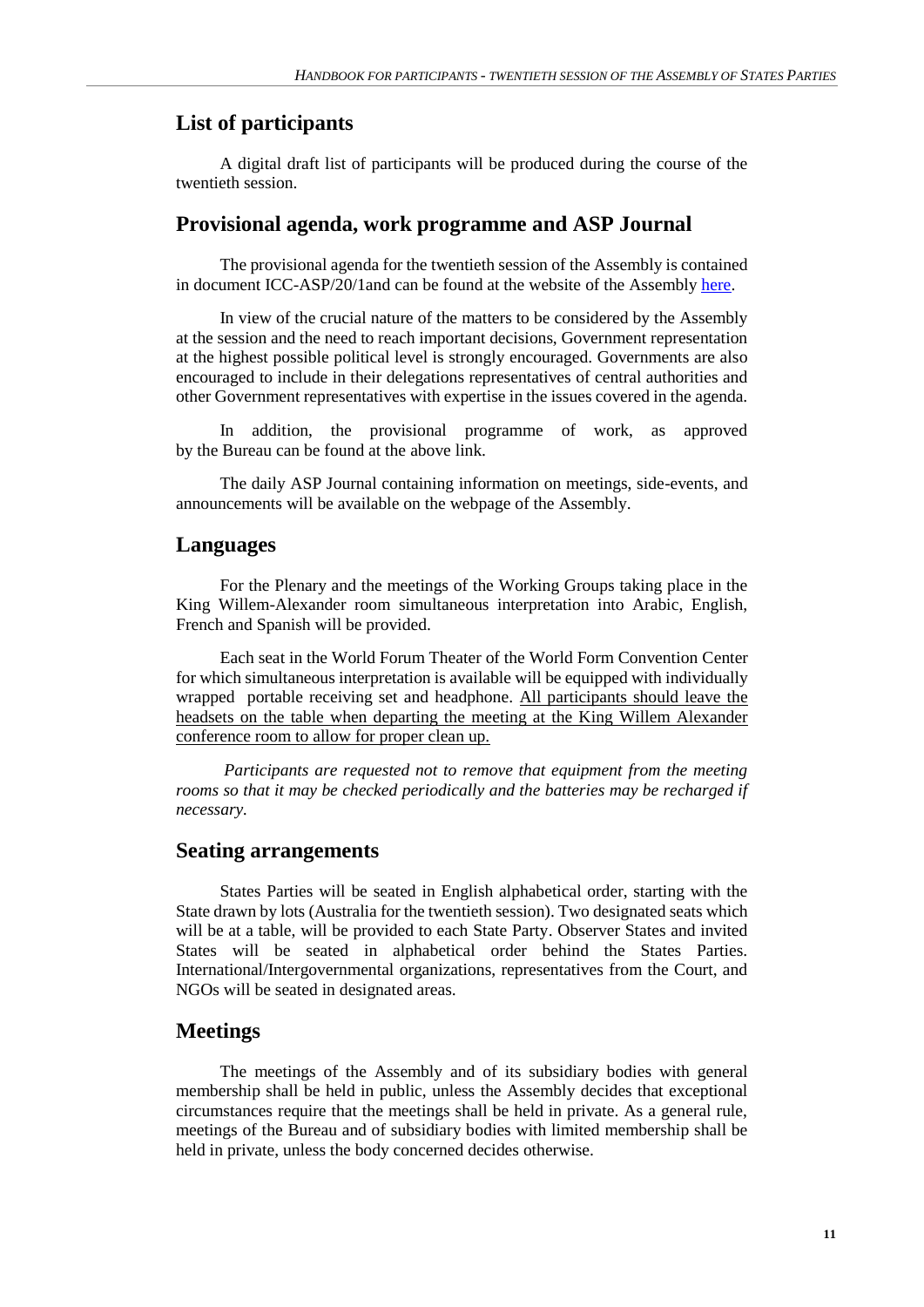## **List of participants**

A digital draft list of participants will be produced during the course of the twentieth session.

#### **Provisional agenda, work programme and ASP Journal**

The provisional agenda for the twentieth session of the Assembly is contained in document ICC-ASP/20/1and can be found at the website of the Assembly [here.](https://asp.icc-cpi.int/en_menus/asp/sessions/documentation/20th%20session/Pages/default.aspx)

In view of the crucial nature of the matters to be considered by the Assembly at the session and the need to reach important decisions, Government representation at the highest possible political level is strongly encouraged. Governments are also encouraged to include in their delegations representatives of central authorities and other Government representatives with expertise in the issues covered in the agenda.

In addition, the provisional programme of work, as approved by the Bureau can be found at the above link.

The daily ASP Journal containing information on meetings, side-events, and announcements will be available on the webpage of the Assembly.

#### **Languages**

For the Plenary and the meetings of the Working Groups taking place in the King Willem-Alexander room simultaneous interpretation into Arabic, English, French and Spanish will be provided.

Each seat in the World Forum Theater of the World Form Convention Center for which simultaneous interpretation is available will be equipped with individually wrapped portable receiving set and headphone. All participants should leave the headsets on the table when departing the meeting at the King Willem Alexander conference room to allow for proper clean up.

*Participants are requested not to remove that equipment from the meeting rooms so that it may be checked periodically and the batteries may be recharged if necessary.*

#### **Seating arrangements**

States Parties will be seated in English alphabetical order, starting with the State drawn by lots (Australia for the twentieth session). Two designated seats which will be at a table, will be provided to each State Party. Observer States and invited States will be seated in alphabetical order behind the States Parties. International/Intergovernmental organizations, representatives from the Court, and NGOs will be seated in designated areas.

### **Meetings**

The meetings of the Assembly and of its subsidiary bodies with general membership shall be held in public, unless the Assembly decides that exceptional circumstances require that the meetings shall be held in private. As a general rule, meetings of the Bureau and of subsidiary bodies with limited membership shall be held in private, unless the body concerned decides otherwise.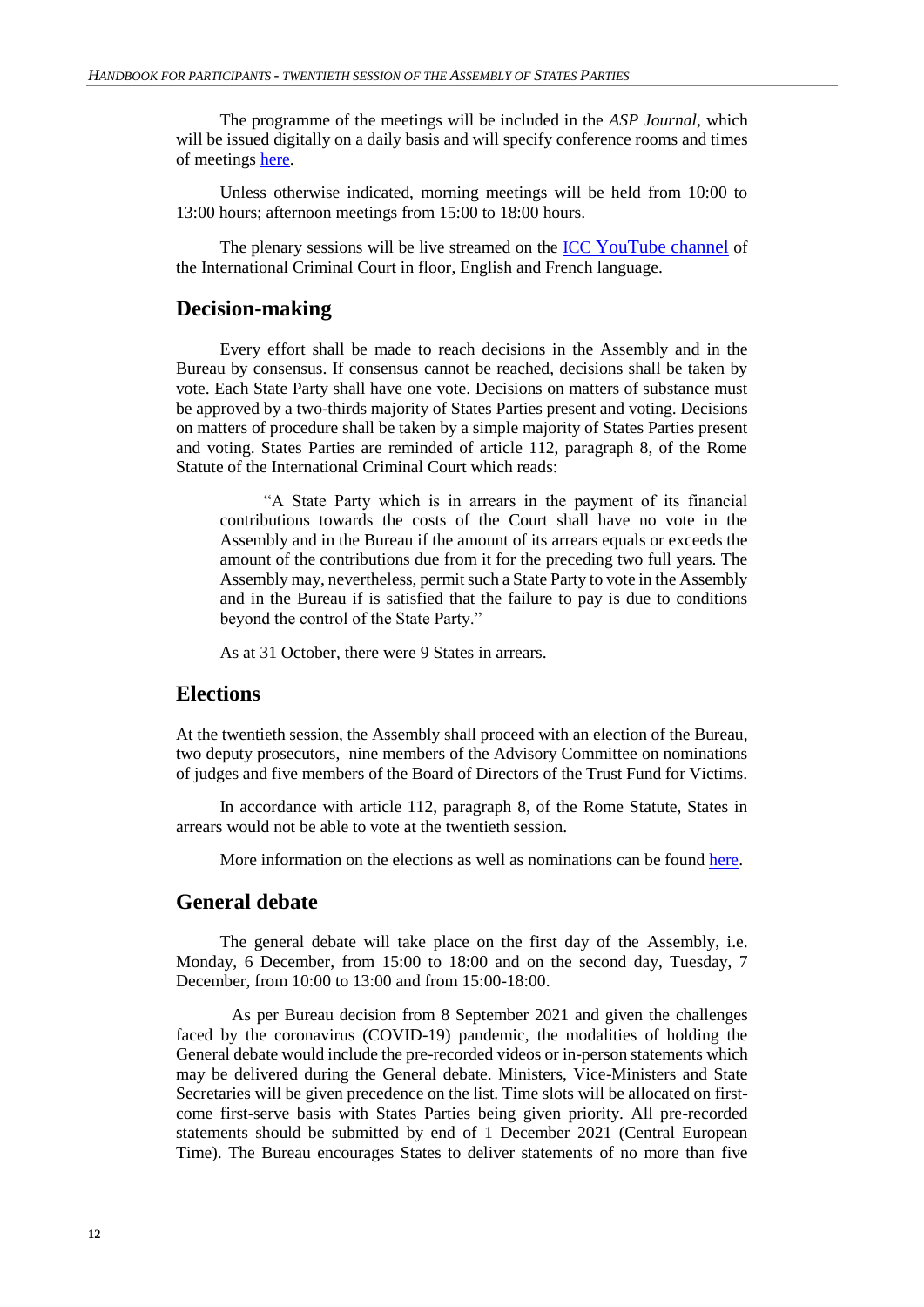The programme of the meetings will be included in the *ASP Journal*, which will be issued digitally on a daily basis and will specify conference rooms and times of meetings [here.](https://asp.icc-cpi.int/en_menus/asp/sessions/documentation/20th%20session/Pages/default.aspx)

Unless otherwise indicated, morning meetings will be held from 10:00 to 13:00 hours; afternoon meetings from 15:00 to 18:00 hours.

The plenary sessions will be live streamed on the ICC [YouTube channel](https://www.youtube.com/user/IntlCriminalCourt) of the International Criminal Court in floor, English and French language.

### **Decision-making**

Every effort shall be made to reach decisions in the Assembly and in the Bureau by consensus. If consensus cannot be reached, decisions shall be taken by vote. Each State Party shall have one vote. Decisions on matters of substance must be approved by a two-thirds majority of States Parties present and voting. Decisions on matters of procedure shall be taken by a simple majority of States Parties present and voting. States Parties are reminded of article 112, paragraph 8, of the Rome Statute of the International Criminal Court which reads:

"A State Party which is in arrears in the payment of its financial contributions towards the costs of the Court shall have no vote in the Assembly and in the Bureau if the amount of its arrears equals or exceeds the amount of the contributions due from it for the preceding two full years. The Assembly may, nevertheless, permit such a State Party to vote in the Assembly and in the Bureau if is satisfied that the failure to pay is due to conditions beyond the control of the State Party."

As at 31 October, there were 9 States in arrears.

## **Elections**

At the twentieth session, the Assembly shall proceed with an election of the Bureau, two deputy prosecutors, nine members of the Advisory Committee on nominations of judges and five members of the Board of Directors of the Trust Fund for Victims*.*

In accordance with article 112, paragraph 8, of the Rome Statute, States in arrears would not be able to vote at the twentieth session.

More information on the elections as well as nominations can be found [here.](https://asp.icc-cpi.int/en_menus/asp/elections/pages/elections2021.aspx)

### **General debate**

The general debate will take place on the first day of the Assembly, i.e. Monday, 6 December, from 15:00 to 18:00 and on the second day, Tuesday, 7 December, from 10:00 to 13:00 and from 15:00-18:00.

As per Bureau decision from 8 September 2021 and given the challenges faced by the coronavirus (COVID-19) pandemic, the modalities of holding the General debate would include the pre-recorded videos or in-person statements which may be delivered during the General debate. Ministers, Vice-Ministers and State Secretaries will be given precedence on the list. Time slots will be allocated on firstcome first-serve basis with States Parties being given priority. All pre-recorded statements should be submitted by end of 1 December 2021 (Central European Time). The Bureau encourages States to deliver statements of no more than five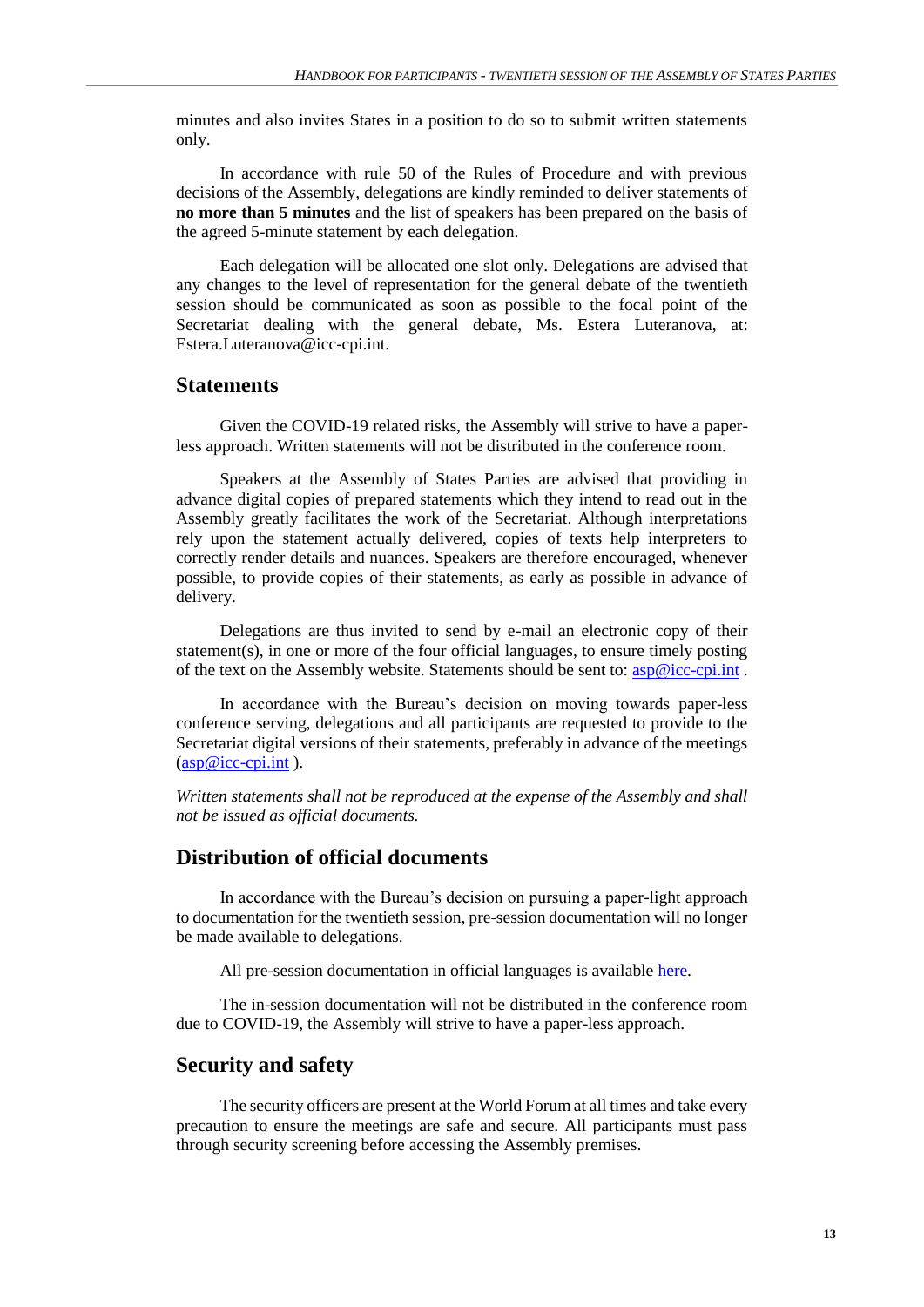minutes and also invites States in a position to do so to submit written statements only.

In accordance with rule 50 of the Rules of Procedure and with previous decisions of the Assembly, delegations are kindly reminded to deliver statements of **no more than 5 minutes** and the list of speakers has been prepared on the basis of the agreed 5-minute statement by each delegation.

Each delegation will be allocated one slot only. Delegations are advised that any changes to the level of representation for the general debate of the twentieth session should be communicated as soon as possible to the focal point of the Secretariat dealing with the general debate, Ms. Estera Luteranova, at: [Estera.Luteranova@icc-cpi.int.](mailto:Estera.Luteranova@icc-cpi.int)

#### **Statements**

Given the COVID-19 related risks, the Assembly will strive to have a paperless approach. Written statements will not be distributed in the conference room.

Speakers at the Assembly of States Parties are advised that providing in advance digital copies of prepared statements which they intend to read out in the Assembly greatly facilitates the work of the Secretariat. Although interpretations rely upon the statement actually delivered, copies of texts help interpreters to correctly render details and nuances. Speakers are therefore encouraged, whenever possible, to provide copies of their statements, as early as possible in advance of delivery.

Delegations are thus invited to send by e-mail an electronic copy of their statement(s), in one or more of the four official languages, to ensure timely posting of the text on the Assembly website. Statements should be sent to:  $\frac{\text{asp@icc-op.int}}{\text{ap@icc-op.int}}$ .

In accordance with the Bureau's decision on moving towards paper-less conference serving, delegations and all participants are requested to provide to the Secretariat digital versions of their statements, preferably in advance of the meetings [\(asp@icc-cpi.int](mailto:asp@icc-cpi.int) ).

*Written statements shall not be reproduced at the expense of the Assembly and shall not be issued as official documents.*

## **Distribution of official documents**

In accordance with the Bureau's decision on pursuing a paper-light approach to documentation for the twentieth session, pre-session documentation will no longer be made available to delegations.

All pre-session documentation in official languages is available [here.](https://asp.icc-cpi.int/en_menus/asp/sessions/documentation/20th%20session/Pages/default.aspx)

The in-session documentation will not be distributed in the conference room due to COVID-19, the Assembly will strive to have a paper-less approach.

## **Security and safety**

The security officers are present at the World Forum at all times and take every precaution to ensure the meetings are safe and secure. All participants must pass through security screening before accessing the Assembly premises.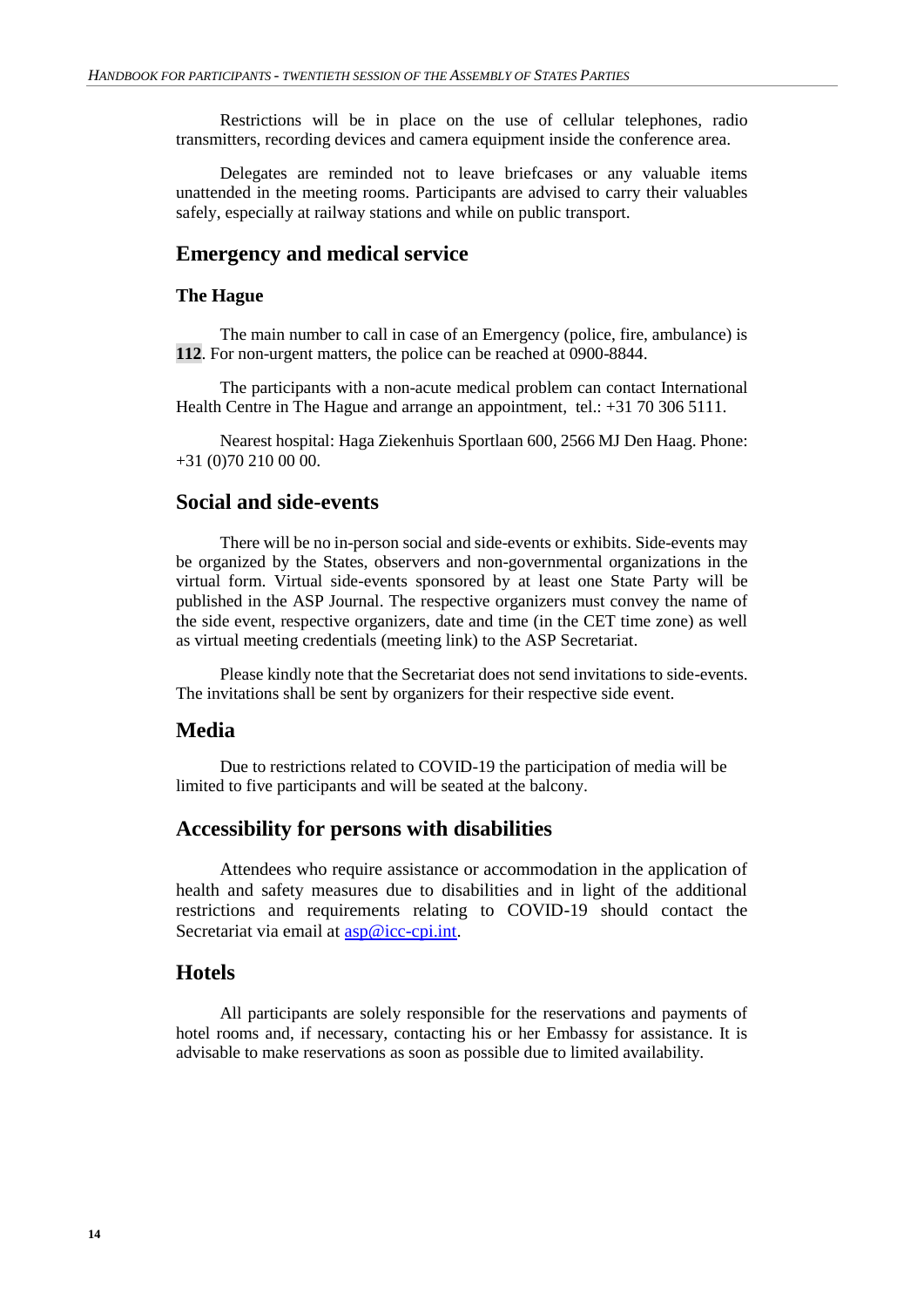Restrictions will be in place on the use of cellular telephones, radio transmitters, recording devices and camera equipment inside the conference area.

Delegates are reminded not to leave briefcases or any valuable items unattended in the meeting rooms. Participants are advised to carry their valuables safely, especially at railway stations and while on public transport.

### **Emergency and medical service**

#### **The Hague**

The main number to call in case of an Emergency (police, fire, ambulance) is **112**. For non-urgent matters, the police can be reached at 0900-8844.

The participants with a non-acute medical problem can contact International Health Centre in The Hague and arrange an appointment, tel.: +31 70 306 5111.

Nearest hospital: Haga Ziekenhuis Sportlaan 600, 2566 MJ Den Haag. Phone: +31 (0)70 210 00 00.

## **Social and side-events**

There will be no in-person social and side-events or exhibits. Side-events may be organized by the States, observers and non-governmental organizations in the virtual form. Virtual side-events sponsored by at least one State Party will be published in the ASP Journal. The respective organizers must convey the name of the side event, respective organizers, date and time (in the CET time zone) as well as virtual meeting credentials (meeting link) to the ASP Secretariat.

Please kindly note that the Secretariat does not send invitations to side-events. The invitations shall be sent by organizers for their respective side event.

### **Media**

Due to restrictions related to COVID-19 the participation of media will be limited to five participants and will be seated at the balcony.

### **Accessibility for persons with disabilities**

Attendees who require assistance or accommodation in the application of health and safety measures due to disabilities and in light of the additional restrictions and requirements relating to COVID-19 should contact the Secretariat via email at  $\frac{\text{asp@}$ icc-cpi.int.

#### **Hotels**

All participants are solely responsible for the reservations and payments of hotel rooms and, if necessary, contacting his or her Embassy for assistance. It is advisable to make reservations as soon as possible due to limited availability.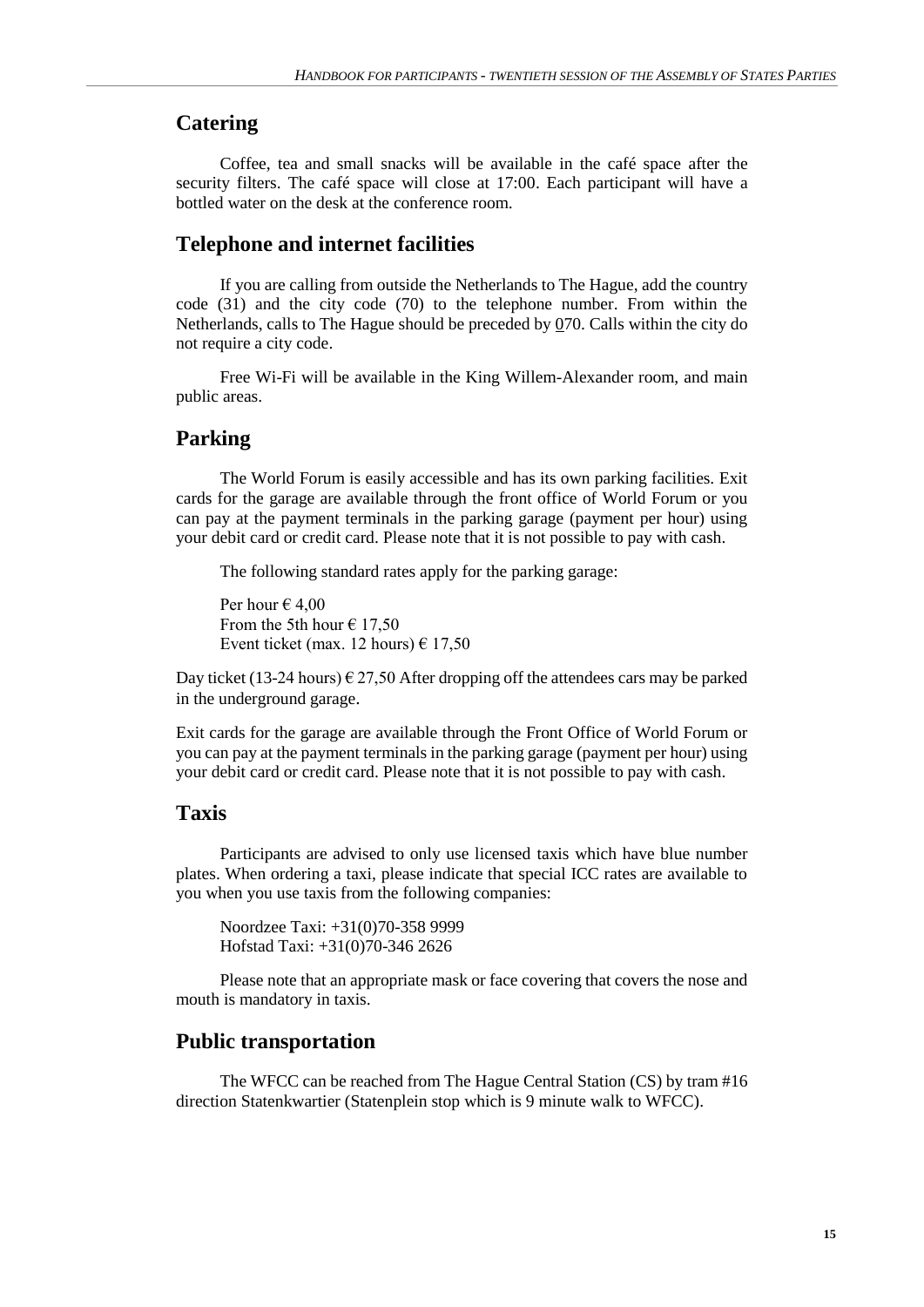## **Catering**

Coffee, tea and small snacks will be available in the café space after the security filters. The café space will close at 17:00. Each participant will have a bottled water on the desk at the conference room.

#### **Telephone and internet facilities**

If you are calling from outside the Netherlands to The Hague, add the country code (31) and the city code (70) to the telephone number. From within the Netherlands, calls to The Hague should be preceded by  $\overline{070}$ . Calls within the city do not require a city code.

Free Wi-Fi will be available in the King Willem-Alexander room, and main public areas.

## **Parking**

The World Forum is easily accessible and has its own parking facilities. Exit cards for the garage are available through the front office of World Forum or you can pay at the payment terminals in the parking garage (payment per hour) using your debit card or credit card. Please note that it is not possible to pay with cash.

The following standard rates apply for the parking garage:

Per hour  $\in$  4,00 From the 5th hour  $\epsilon$  17.50 Event ticket (max. 12 hours)  $\in$  17.50

Day ticket (13-24 hours)  $\epsilon$  27,50 After dropping off the attendees cars may be parked in the underground garage.

Exit cards for the garage are available through the Front Office of World Forum or you can pay at the payment terminals in the parking garage (payment per hour) using your debit card or credit card. Please note that it is not possible to pay with cash.

## **Taxis**

Participants are advised to only use licensed taxis which have blue number plates. When ordering a taxi, please indicate that special ICC rates are available to you when you use taxis from the following companies:

Noordzee Taxi: +31(0)70-358 9999 Hofstad Taxi: +31(0)70-346 2626

Please note that an appropriate mask or face covering that covers the nose and mouth is mandatory in taxis.

#### **Public transportation**

The WFCC can be reached from The Hague Central Station (CS) by tram #16 direction Statenkwartier (Statenplein stop which is 9 minute walk to WFCC).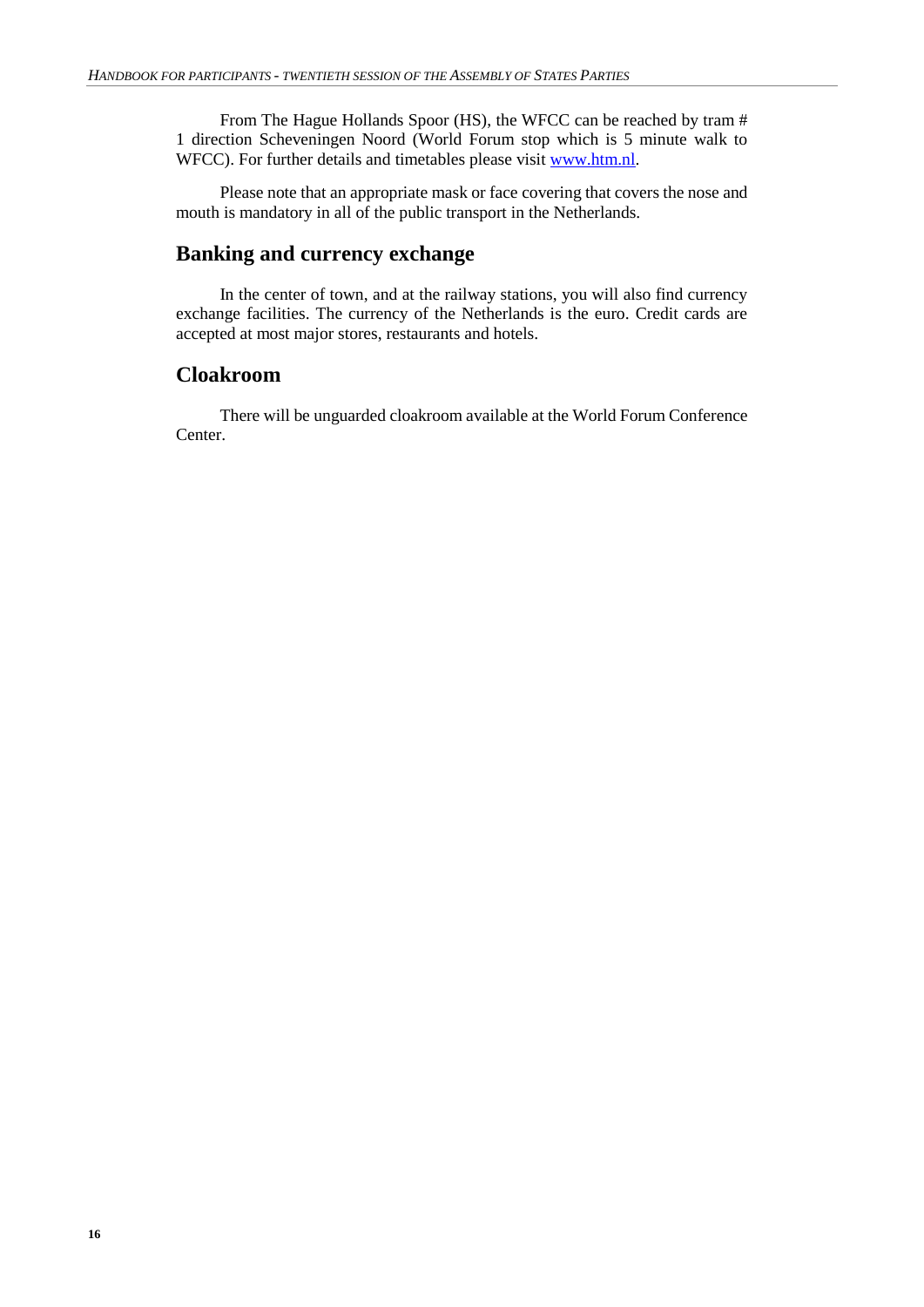From The Hague Hollands Spoor (HS), the WFCC can be reached by tram # 1 direction Scheveningen Noord (World Forum stop which is 5 minute walk to WFCC). For further details and timetables please visit [www.htm.nl.](http://www.htm.nl/)

Please note that an appropriate mask or face covering that covers the nose and mouth is mandatory in all of the public transport in the Netherlands.

## **Banking and currency exchange**

In the center of town, and at the railway stations, you will also find currency exchange facilities. The currency of the Netherlands is the euro. Credit cards are accepted at most major stores, restaurants and hotels.

## **Cloakroom**

There will be unguarded cloakroom available at the World Forum Conference Center.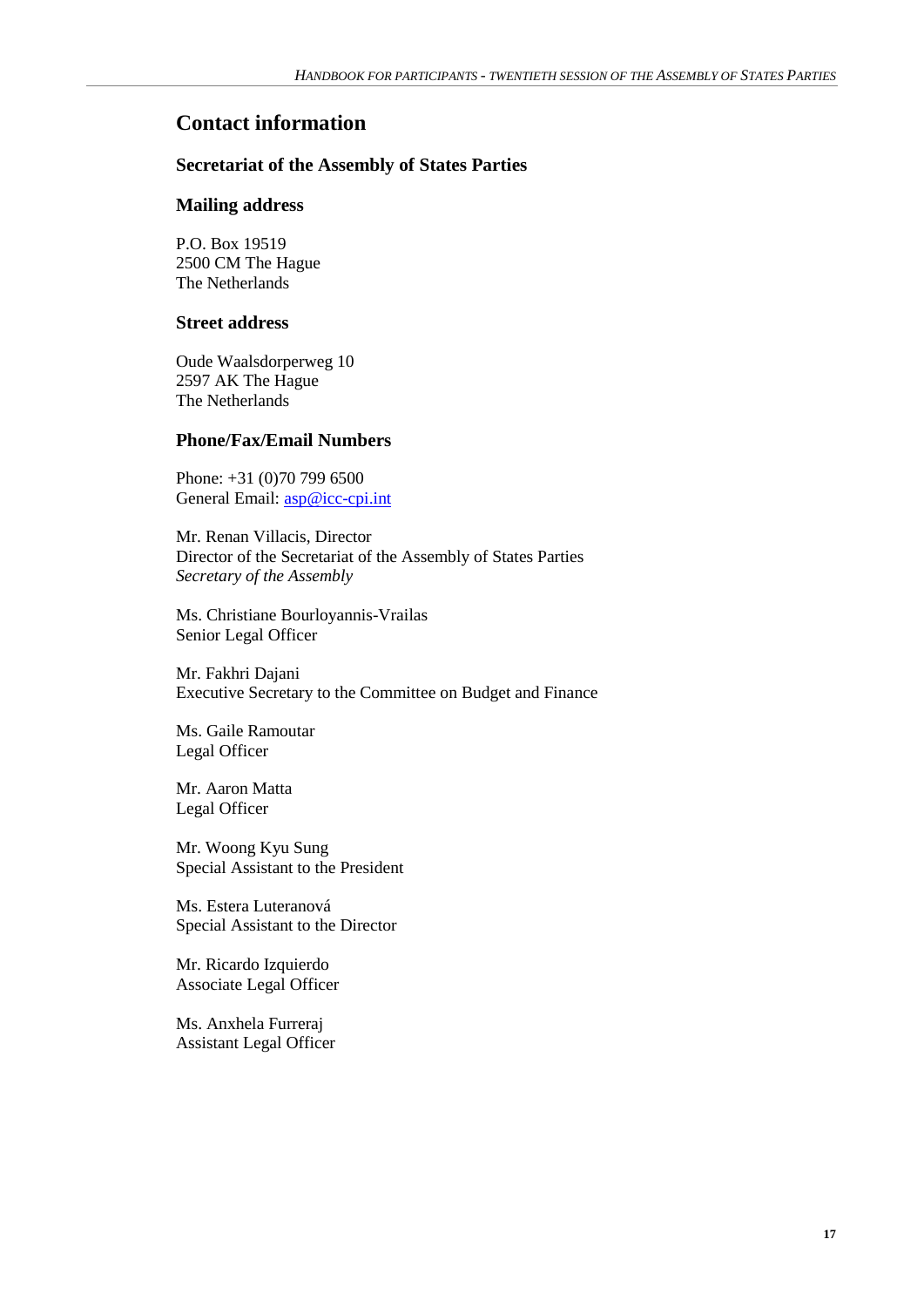## **Contact information**

### **Secretariat of the Assembly of States Parties**

## **Mailing address**

P.O. Box 19519 2500 CM The Hague The Netherlands

#### **Street address**

Oude Waalsdorperweg 10 2597 AK The Hague The Netherlands

### **Phone/Fax/Email Numbers**

Phone: +31 (0)70 799 6500 General Email: [asp@icc-cpi.int](mailto:asp@icc-cpi.int)

Mr. Renan Villacis, Director Director of the Secretariat of the Assembly of States Parties *Secretary of the Assembly*

Ms. Christiane Bourloyannis-Vrailas Senior Legal Officer

Mr. Fakhri Dajani Executive Secretary to the Committee on Budget and Finance

Ms. Gaile Ramoutar Legal Officer

Mr. Aaron Matta Legal Officer

Mr. Woong Kyu Sung Special Assistant to the President

Ms. Estera Luteranová Special Assistant to the Director

Mr. Ricardo Izquierdo Associate Legal Officer

Ms. Anxhela Furreraj Assistant Legal Officer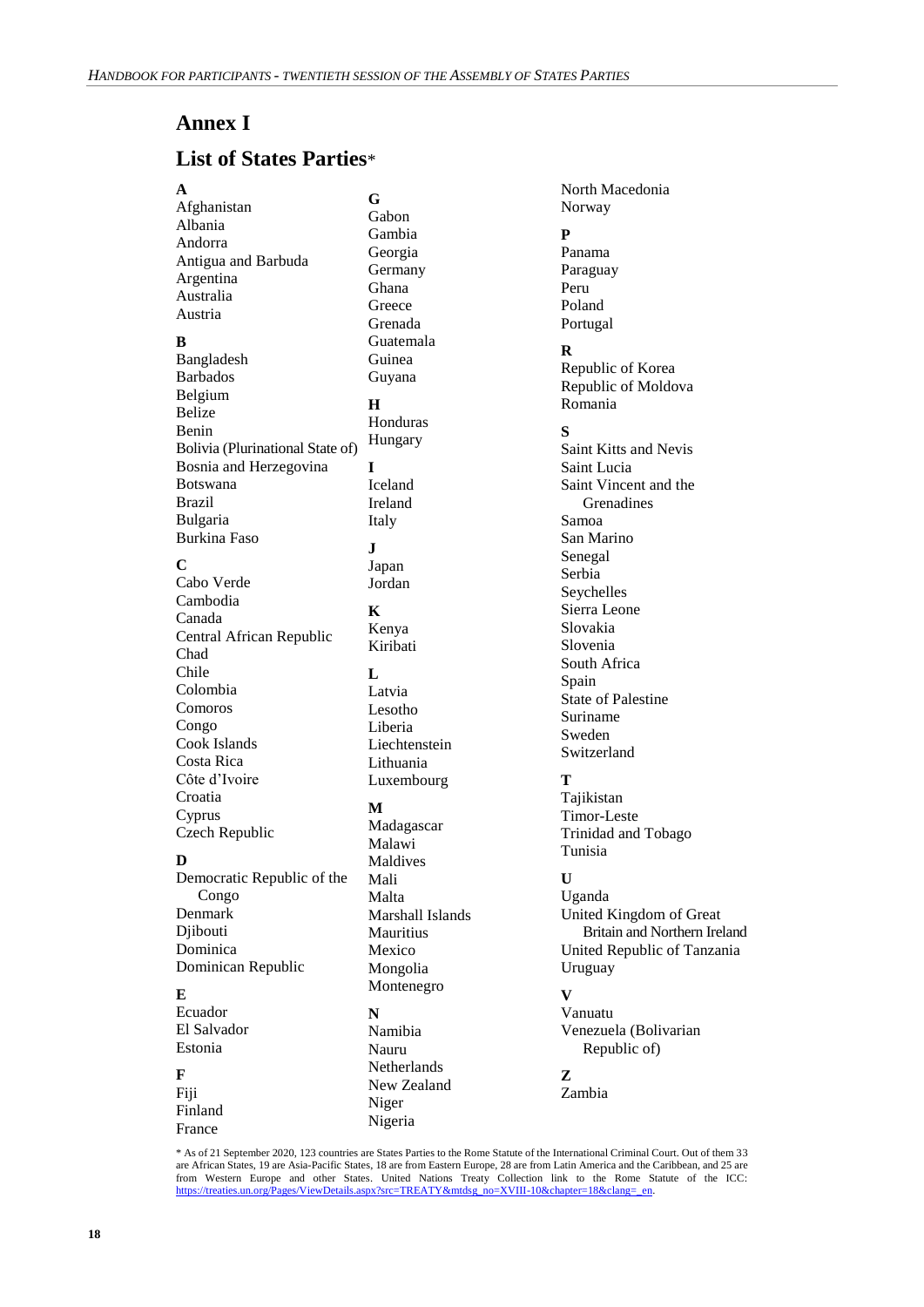## **Annex I**

## **List of States Parties**\*

**A**

[Afghanistan](http://icc-cpi.int/Menus/ASP/states+parties/Asian+States/Afghanistan.htm) [Albania](http://icc-cpi.int/Menus/ASP/states+parties/Eastern+European+States/Albania.htm) [Andorra](http://icc-cpi.int/Menus/ASP/states+parties/Western+European+and+Other+States/Andorra.htm) [Antigua and Barbuda](http://icc-cpi.int/Menus/ASP/states+parties/Latin+American+and+Caribbean+States/Antigua+and+Barbuda.htm) [Argentina](http://icc-cpi.int/Menus/ASP/states+parties/Latin+American+and+Caribbean+States/Argentina.htm) [Australia](http://icc-cpi.int/Menus/ASP/states+parties/Western+European+and+Other+States/Australia.htm) [Austria](http://icc-cpi.int/Menus/ASP/states+parties/Western+European+and+Other+States/Austria.htm) **B** [Bangladesh](http://icc-cpi.int/Menus/ASP/states+parties/Asian+States/Bangladesh.htm) [Barbados](http://icc-cpi.int/Menus/ASP/states+parties/Latin+American+and+Caribbean+States/Barbados.htm) [Belgium](http://icc-cpi.int/Menus/ASP/states+parties/Western+European+and+Other+States/Belgium.htm) [Belize](http://icc-cpi.int/Menus/ASP/states+parties/Latin+American+and+Caribbean+States/Belize.htm) [Benin](http://icc-cpi.int/Menus/ASP/states+parties/African+States/Benin.htm) [Bolivia](http://icc-cpi.int/Menus/ASP/states+parties/Latin+American+and+Caribbean+States/Bolivia.htm) (Plurinational State of) [Bosnia and Herzegovina](http://icc-cpi.int/Menus/ASP/states+parties/Eastern+European+States/Bosnia+and+Herzegovina.htm) [Botswana](http://icc-cpi.int/Menus/ASP/states+parties/African+States/Botswana.htm) [Brazil](http://icc-cpi.int/Menus/ASP/states+parties/Latin+American+and+Caribbean+States/Brazil.htm) [Bulgaria](http://icc-cpi.int/Menus/ASP/states+parties/Eastern+European+States/Bulgaria.htm) [Burkina Faso](http://icc-cpi.int/Menus/ASP/states+parties/African+States/Burkina+Faso.htm) **C** Cabo [Verde](http://icc-cpi.int/Menus/ASP/states+parties/African+States/Cape+Verde.htm) [Cambodia](http://icc-cpi.int/Menus/ASP/states+parties/Asian+States/Cambodia.htm) [Canada](http://icc-cpi.int/Menus/ASP/states+parties/Western+European+and+Other+States/Canada.htm) [Central African Republic](http://icc-cpi.int/Menus/ASP/states+parties/African+States/Central+African+Republic.htm) [Chad](http://icc-cpi.int/Menus/ASP/states+parties/African+States/Chad.htm) [Chile](http://icc-cpi.int/Menus/ASP/states+parties/Latin+American+and+Caribbean+States/Chile.htm) [Colombia](http://icc-cpi.int/Menus/ASP/states+parties/Latin+American+and+Caribbean+States/Colombia.htm) [Comoros](http://icc-cpi.int/Menus/ASP/states+parties/African+States/Comoros.htm) [Congo](http://icc-cpi.int/Menus/ASP/states+parties/African+States/Congo.htm) [Cook Islands](http://icc-cpi.int/Menus/ASP/states+parties/Asian+States/Cook+Islands.htm) [Costa Rica](http://icc-cpi.int/Menus/ASP/states+parties/Latin+American+and+Caribbean+States/Costa+Rica.htm) Côte d'Ivoire [Croatia](http://icc-cpi.int/Menus/ASP/states+parties/Eastern+European+States/Croatia.htm) [Cyprus](http://icc-cpi.int/Menus/ASP/states+parties/Asian+States/Cyprus.htm) [Czech Republic](http://icc-cpi.int/Menus/ASP/states+parties/Eastern+European+States/Czech_Republic.htm) **D** [Democratic Republic of the](http://icc-cpi.int/Menus/ASP/states+parties/African+States/Democratic+Republic+of+the+Congo.htm)  [Congo](http://icc-cpi.int/Menus/ASP/states+parties/African+States/Democratic+Republic+of+the+Congo.htm) [Denmark](http://icc-cpi.int/Menus/ASP/states+parties/Western+European+and+Other+States/Denmark.htm) [Djibouti](http://icc-cpi.int/Menus/ASP/states+parties/African+States/Djibouti.htm) [Dominica](http://icc-cpi.int/Menus/ASP/states+parties/Latin+American+and+Caribbean+States/Dominica.htm) [Dominican Republic](http://icc-cpi.int/Menus/ASP/states+parties/Latin+American+and+Caribbean+States/Dominican+Republic.htm) **E** [Ecuador](http://icc-cpi.int/Menus/ASP/states+parties/Latin+American+and+Caribbean+States/Ecuador.htm) El Salvador [Estonia](http://icc-cpi.int/Menus/ASP/states+parties/Eastern+European+States/Estonia.htm) **F**  Fiji Finland France **G** [Nauru](http://icc-cpi.int/Menus/ASP/states+parties/Asian+States/Nauru.htm) **[Netherlands](http://icc-cpi.int/Menus/ASP/states+parties/Western+European+and+Other+States/Netherlands.htm)** [New Zealand](http://icc-cpi.int/Menus/ASP/states+parties/Western+European+and+Other+States/New+Zealand.htm) Niger Nigeria

[Gabon](http://icc-cpi.int/Menus/ASP/states+parties/African+States/Gabon.htm) [Gambia](http://icc-cpi.int/Menus/ASP/states+parties/African+States/Gambia.htm) [Georgia](http://icc-cpi.int/Menus/ASP/states+parties/Eastern+European+States/Georgia.htm) [Germany](http://icc-cpi.int/Menus/ASP/states+parties/Western+European+and+Other+States/Germany.htm) [Ghana](http://icc-cpi.int/Menus/ASP/states+parties/African+States/Ghana.htm) [Greece](http://icc-cpi.int/Menus/ASP/states+parties/Western+European+and+Other+States/Greece.htm) [Grenada](http://icc-cpi.int/Menus/ASP/states+parties/Latin+American+and+Caribbean+States/Grenada.htm) [Guatemala](http://icc-cpi.int/Menus/ASP/states+parties/Latin+American+and+Caribbean+States/Guatemala.htm) [Guinea](http://icc-cpi.int/Menus/ASP/states+parties/African+States/Guinea.htm) [Guyana](http://icc-cpi.int/Menus/ASP/states+parties/Latin+American+and+Caribbean+States/Guyana.htm) **H** [Honduras](http://icc-cpi.int/Menus/ASP/states+parties/Latin+American+and+Caribbean+States/Honduras.htm) [Hungary](http://icc-cpi.int/Menus/ASP/states+parties/Eastern+European+States/Hungary.htm) **I** [Iceland](http://icc-cpi.int/Menus/ASP/states+parties/Western+European+and+Other+States/Iceland.htm) [Ireland](http://icc-cpi.int/Menus/ASP/states+parties/Western+European+and+Other+States/Ireland.htm) [Italy](http://icc-cpi.int/Menus/ASP/states+parties/Western+European+and+Other+States/Italy.htm) **J** [Japan](http://icc-cpi.int/Menus/ASP/states+parties/Asian+States/Japan.htm) [Jordan](http://icc-cpi.int/Menus/ASP/states+parties/Asian+States/Jordan.htm) **K** [Kenya](http://icc-cpi.int/Menus/ASP/states+parties/African+States/Kenya.htm) Kiribati **L** [Latvia](http://icc-cpi.int/Menus/ASP/states+parties/Eastern+European+States/Latvia.htm) [Lesotho](http://icc-cpi.int/Menus/ASP/states+parties/African+States/Lesotho.htm) [Liberia](http://icc-cpi.int/Menus/ASP/states+parties/African+States/Liberia.htm) [Liechtenstein](http://icc-cpi.int/Menus/ASP/states+parties/Western+European+and+Other+States/Liechtenstein.htm) [Lithuania](http://icc-cpi.int/Menus/ASP/states+parties/Eastern+European+States/Lithuania.htm) [Luxembourg](http://icc-cpi.int/Menus/ASP/states+parties/Western+European+and+Other+States/Luxembourg.htm) **M** [Madagascar](http://icc-cpi.int/Menus/ASP/states+parties/African+States/Madagascar+_African+States_.htm) [Malawi](http://icc-cpi.int/Menus/ASP/states+parties/African+States/Malawi.htm) [Maldives](http://icc-cpi.int/Menus/ASP/states+parties/Asian+States/Maldives.htm) [Mali](http://icc-cpi.int/Menus/ASP/states+parties/African+States/Mali.htm) [Malta](http://icc-cpi.int/Menus/ASP/states+parties/Western+European+and+Other+States/Malta.htm) [Marshall Islands](http://icc-cpi.int/Menus/ASP/states+parties/Asian+States/Marshall+Islands.htm) [Mauritius](http://icc-cpi.int/Menus/ASP/states+parties/African+States/Mauritius.htm) [Mexico](http://icc-cpi.int/Menus/ASP/states+parties/Latin+American+and+Caribbean+States/Mexico.htm) [Mongolia](http://icc-cpi.int/Menus/ASP/states+parties/Asian+States/Mongolia.htm) [Montenegro](http://icc-cpi.int/Menus/ASP/states+parties/Eastern+European+States/Montenegro.htm) **N** Namibia

North Macedonia [Norway](http://icc-cpi.int/Menus/ASP/states+parties/Western+European+and+Other+States/Norway.htm) **P**

[Panama](http://icc-cpi.int/Menus/ASP/states+parties/Latin+American+and+Caribbean+States/Panama.htm) [Paraguay](http://icc-cpi.int/Menus/ASP/states+parties/Latin+American+and+Caribbean+States/Paraguay.htm) [Peru](http://icc-cpi.int/Menus/ASP/states+parties/Latin+American+and+Caribbean+States/Peru.htm) [Poland](http://icc-cpi.int/Menus/ASP/states+parties/Eastern+European+States/Poland.htm) [Portugal](http://icc-cpi.int/Menus/ASP/states+parties/Western+European+and+Other+States/Portugal.htm)

**R**

[Republic of Korea](http://icc-cpi.int/Menus/ASP/states+parties/Asian+States/Republic+of+Korea.htm) [Republic of Moldova](http://icc-cpi.int/Menus/ASP/states+parties/Eastern+European+States/Moldova.htm) [Romania](http://icc-cpi.int/Menus/ASP/states+parties/Eastern+European+States/Romania.htm)

#### **S**

[Saint Kitts and Nevis](http://icc-cpi.int/Menus/ASP/states+parties/Latin+American+and+Caribbean+States/Saint+Kitts+and+Nevis.htm) [Saint Lucia](http://icc-cpi.int/Menus/ASP/states+parties/Latin+American+and+Caribbean+States/Saint+Lucia.htm) [Saint Vincent and the](http://icc-cpi.int/Menus/ASP/states+parties/Latin+American+and+Caribbean+States/Saint+Vincent+and+the+Grenadines.htm)  [Grenadines](http://icc-cpi.int/Menus/ASP/states+parties/Latin+American+and+Caribbean+States/Saint+Vincent+and+the+Grenadines.htm) [Samoa](http://icc-cpi.int/Menus/ASP/states+parties/Asian+States/Samoa.htm) [San Marino](http://icc-cpi.int/Menus/ASP/states+parties/Western+European+and+Other+States/San+Marino.htm) [Senegal](http://icc-cpi.int/Menus/ASP/states+parties/African+States/Senegal.htm) [Serbia](http://icc-cpi.int/Menus/ASP/states+parties/Eastern+European+States/Serbia.htm) [Seychelles](http://icc-cpi.int/Menus/ASP/states+parties/African+States/Seychelles.htm) [Sierra Leone](http://icc-cpi.int/Menus/ASP/states+parties/African+States/Sierra+Leone.htm) [Slovakia](http://icc-cpi.int/Menus/ASP/states+parties/Eastern+European+States/Slovakia.htm) [Slovenia](http://icc-cpi.int/Menus/ASP/states+parties/Eastern+European+States/Slovenia.htm) [South Africa](http://icc-cpi.int/Menus/ASP/states+parties/African+States/South+Africa.htm) [Spain](http://icc-cpi.int/Menus/ASP/states+parties/Western+European+and+Other+States/Spain.htm) State of Palestine [Suriname](http://icc-cpi.int/Menus/ASP/states+parties/Latin+American+and+Caribbean+States/Surinam.htm) [Sweden](http://icc-cpi.int/Menus/ASP/states+parties/Western+European+and+Other+States/Sweden.htm) [Switzerland](http://icc-cpi.int/Menus/ASP/states+parties/Western+European+and+Other+States/Switzerland.htm)

### **T**

[Tajikistan](http://icc-cpi.int/Menus/ASP/states+parties/Asian+States/Tajikistan.htm) [Timor-Leste](http://icc-cpi.int/Menus/ASP/states+parties/Asian+States/Timor+Leste.htm) [Trinidad and Tobago](http://icc-cpi.int/Menus/ASP/states+parties/Latin+American+and+Caribbean+States/Trinidad+and+Tobago.htm) [Tunisia](http://icc-cpi.int/Menus/ASP/states+parties/African+States/Tunisia.htm)

## **U**

[Uganda](http://icc-cpi.int/Menus/ASP/states+parties/African+States/Uganda.htm) [United Kingdom](http://icc-cpi.int/Menus/ASP/states+parties/Western+European+and+Other+States/United+Kingdom.htm) of Great Britain and Northern Ireland [United Republic of Tanzania](http://icc-cpi.int/Menus/ASP/states+parties/African+States/United+Republic+of+Tanzania.htm) [Uruguay](http://icc-cpi.int/Menus/ASP/states+parties/Latin+American+and+Caribbean+States/Uruguay.htm)

### **V**

[Vanuatu](http://icc-cpi.int/Menus/ASP/states+parties/Asian+States/Vanuatu.htm) Venezuela (Bolivarian Republic of)

# **Z**

Zambia

\* As of 21 September 2020, 123 countries are States Parties to the Rome Statute of the International Criminal Court. Out of them 33 are African States, 19 ar[e Asia-Pacific States,](http://www.icc-cpi.int/region&id=4.html) 18 are fro[m Eastern Europe,](http://www.icc-cpi.int/region&id=2.html) 28 are fro[m Latin America and the Caribbean,](http://www.icc-cpi.int/region&id=5.html) and 25 are from [Western Europe and other States.](http://www.icc-cpi.int/region&id=1.html) United Nations Treaty Collection link to the Rome Statute of the ICC: [https://treaties.un.org/Pages/ViewDetails.aspx?src=TREATY&mtdsg\\_no=XVIII-10&chapter=18&clang=\\_en.](https://treaties.un.org/Pages/ViewDetails.aspx?src=TREATY&mtdsg_no=XVIII-10&chapter=18&clang=_en)